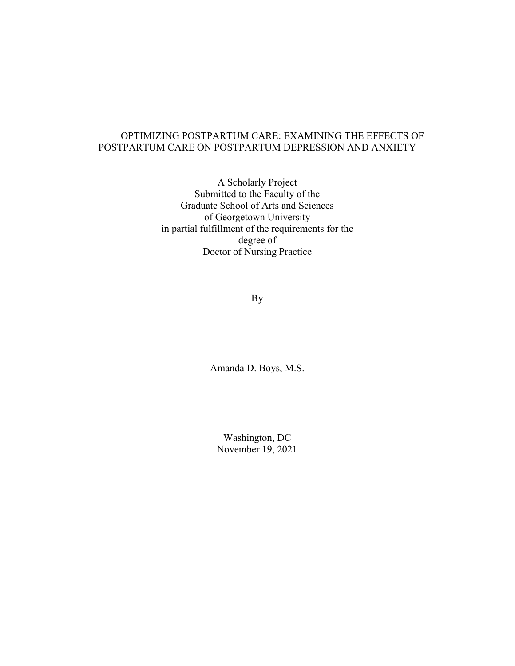# OPTIMIZING POSTPARTUM CARE: EXAMINING THE EFFECTS OF POSTPARTUM CARE ON POSTPARTUM DEPRESSION AND ANXIETY

A Scholarly Project Submitted to the Faculty of the Graduate School of Arts and Sciences of Georgetown University in partial fulfillment of the requirements for the degree of Doctor of Nursing Practice

By

Amanda D. Boys, M.S.

Washington, DC November 19, 2021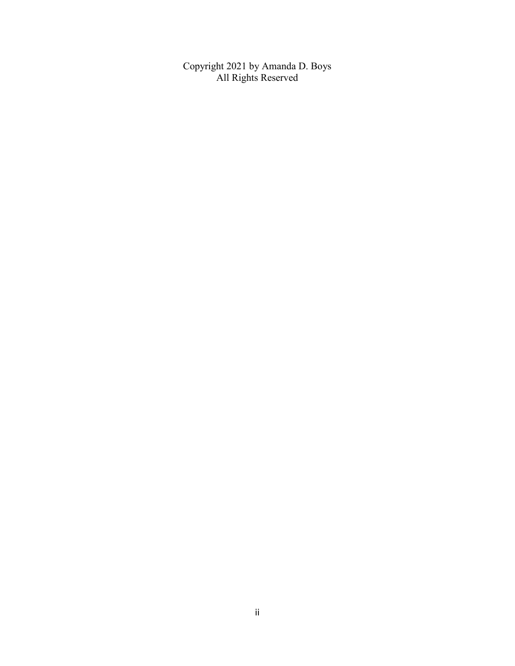Copyright 2021 by Amanda D. Boys All Rights Reserved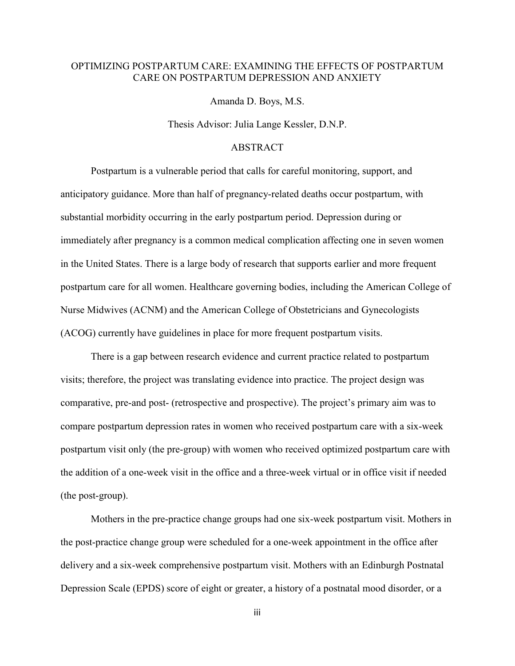# OPTIMIZING POSTPARTUM CARE: EXAMINING THE EFFECTS OF POSTPARTUM CARE ON POSTPARTUM DEPRESSION AND ANXIETY

Amanda D. Boys, M.S.

Thesis Advisor: Julia Lange Kessler, D.N.P.

### ABSTRACT

Postpartum is a vulnerable period that calls for careful monitoring, support, and anticipatory guidance. More than half of pregnancy-related deaths occur postpartum, with substantial morbidity occurring in the early postpartum period. Depression during or immediately after pregnancy is a common medical complication affecting one in seven women in the United States. There is a large body of research that supports earlier and more frequent postpartum care for all women. Healthcare governing bodies, including the American College of Nurse Midwives (ACNM) and the American College of Obstetricians and Gynecologists (ACOG) currently have guidelines in place for more frequent postpartum visits.

There is a gap between research evidence and current practice related to postpartum visits; therefore, the project was translating evidence into practice. The project design was comparative, pre-and post- (retrospective and prospective). The project's primary aim was to compare postpartum depression rates in women who received postpartum care with a six-week postpartum visit only (the pre-group) with women who received optimized postpartum care with the addition of a one-week visit in the office and a three-week virtual or in office visit if needed (the post-group).

Mothers in the pre-practice change groups had one six-week postpartum visit. Mothers in the post-practice change group were scheduled for a one-week appointment in the office after delivery and a six-week comprehensive postpartum visit. Mothers with an Edinburgh Postnatal Depression Scale (EPDS) score of eight or greater, a history of a postnatal mood disorder, or a

iii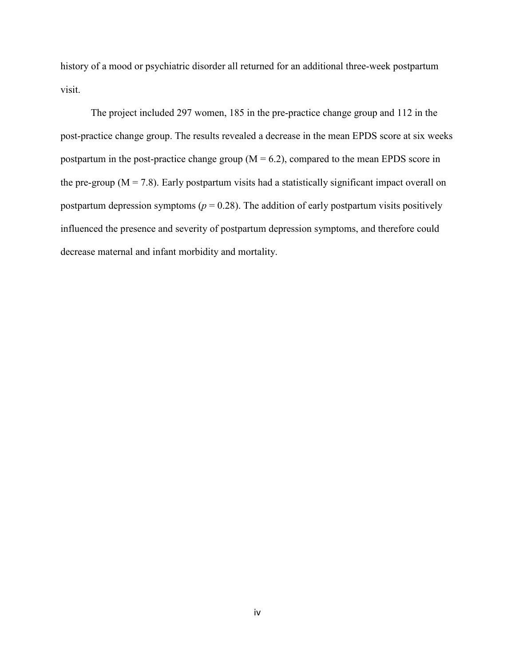history of a mood or psychiatric disorder all returned for an additional three-week postpartum visit.

The project included 297 women, 185 in the pre-practice change group and 112 in the post-practice change group. The results revealed a decrease in the mean EPDS score at six weeks postpartum in the post-practice change group  $(M = 6.2)$ , compared to the mean EPDS score in the pre-group ( $M = 7.8$ ). Early postpartum visits had a statistically significant impact overall on postpartum depression symptoms ( $p = 0.28$ ). The addition of early postpartum visits positively influenced the presence and severity of postpartum depression symptoms, and therefore could decrease maternal and infant morbidity and mortality.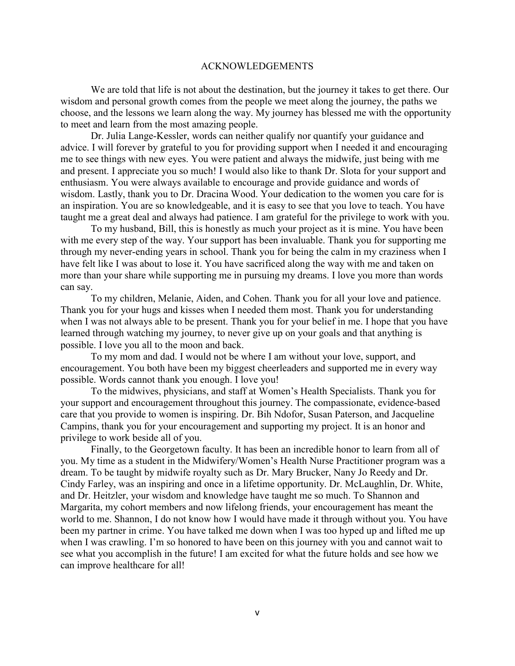### ACKNOWLEDGEMENTS

 We are told that life is not about the destination, but the journey it takes to get there. Our wisdom and personal growth comes from the people we meet along the journey, the paths we choose, and the lessons we learn along the way. My journey has blessed me with the opportunity to meet and learn from the most amazing people.

 Dr. Julia Lange-Kessler, words can neither qualify nor quantify your guidance and advice. I will forever by grateful to you for providing support when I needed it and encouraging me to see things with new eyes. You were patient and always the midwife, just being with me and present. I appreciate you so much! I would also like to thank Dr. Slota for your support and enthusiasm. You were always available to encourage and provide guidance and words of wisdom. Lastly, thank you to Dr. Dracina Wood. Your dedication to the women you care for is an inspiration. You are so knowledgeable, and it is easy to see that you love to teach. You have taught me a great deal and always had patience. I am grateful for the privilege to work with you.

 To my husband, Bill, this is honestly as much your project as it is mine. You have been with me every step of the way. Your support has been invaluable. Thank you for supporting me through my never-ending years in school. Thank you for being the calm in my craziness when I have felt like I was about to lose it. You have sacrificed along the way with me and taken on more than your share while supporting me in pursuing my dreams. I love you more than words can say.

 To my children, Melanie, Aiden, and Cohen. Thank you for all your love and patience. Thank you for your hugs and kisses when I needed them most. Thank you for understanding when I was not always able to be present. Thank you for your belief in me. I hope that you have learned through watching my journey, to never give up on your goals and that anything is possible. I love you all to the moon and back.

 To my mom and dad. I would not be where I am without your love, support, and encouragement. You both have been my biggest cheerleaders and supported me in every way possible. Words cannot thank you enough. I love you!

 To the midwives, physicians, and staff at Women's Health Specialists. Thank you for your support and encouragement throughout this journey. The compassionate, evidence-based care that you provide to women is inspiring. Dr. Bih Ndofor, Susan Paterson, and Jacqueline Campins, thank you for your encouragement and supporting my project. It is an honor and privilege to work beside all of you.

 Finally, to the Georgetown faculty. It has been an incredible honor to learn from all of you. My time as a student in the Midwifery/Women's Health Nurse Practitioner program was a dream. To be taught by midwife royalty such as Dr. Mary Brucker, Nany Jo Reedy and Dr. Cindy Farley, was an inspiring and once in a lifetime opportunity. Dr. McLaughlin, Dr. White, and Dr. Heitzler, your wisdom and knowledge have taught me so much. To Shannon and Margarita, my cohort members and now lifelong friends, your encouragement has meant the world to me. Shannon, I do not know how I would have made it through without you. You have been my partner in crime. You have talked me down when I was too hyped up and lifted me up when I was crawling. I'm so honored to have been on this journey with you and cannot wait to see what you accomplish in the future! I am excited for what the future holds and see how we can improve healthcare for all!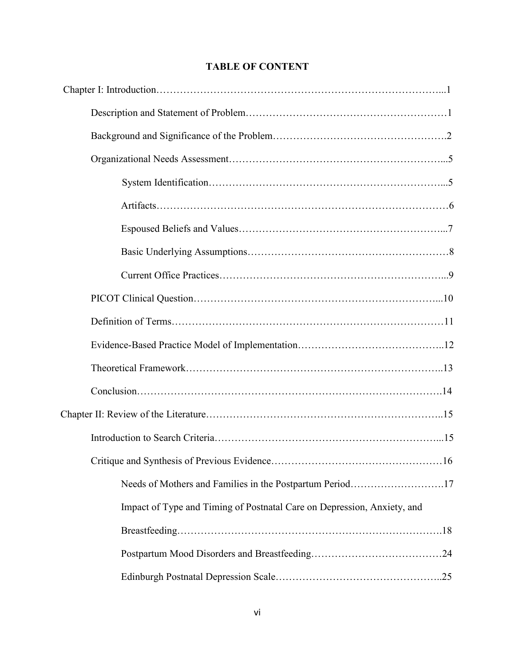# **TABLE OF CONTENT**

| .16                                                                     |  |
|-------------------------------------------------------------------------|--|
| Needs of Mothers and Families in the Postpartum Period17                |  |
| Impact of Type and Timing of Postnatal Care on Depression, Anxiety, and |  |
|                                                                         |  |
|                                                                         |  |
|                                                                         |  |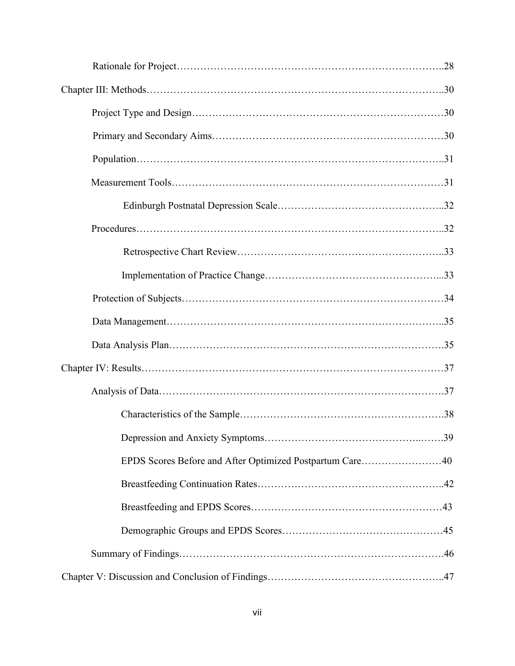| EPDS Scores Before and After Optimized Postpartum Care40 |  |
|----------------------------------------------------------|--|
|                                                          |  |
|                                                          |  |
|                                                          |  |
|                                                          |  |
|                                                          |  |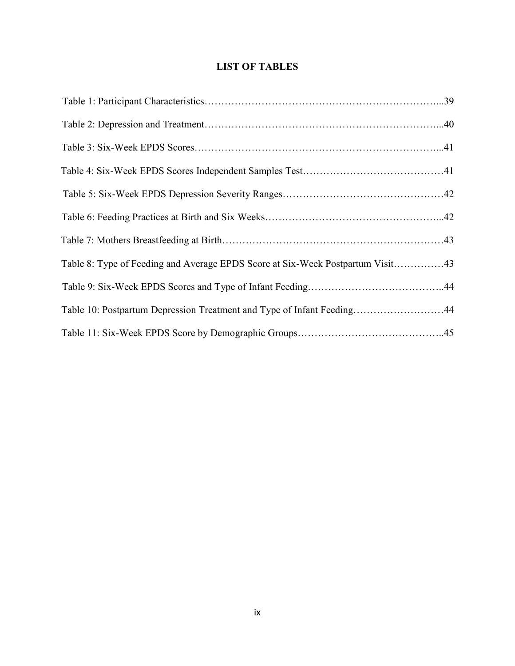# **LIST OF TABLES**

| Table 8: Type of Feeding and Average EPDS Score at Six-Week Postpartum Visit43 |  |
|--------------------------------------------------------------------------------|--|
|                                                                                |  |
| Table 10: Postpartum Depression Treatment and Type of Infant Feeding44         |  |
|                                                                                |  |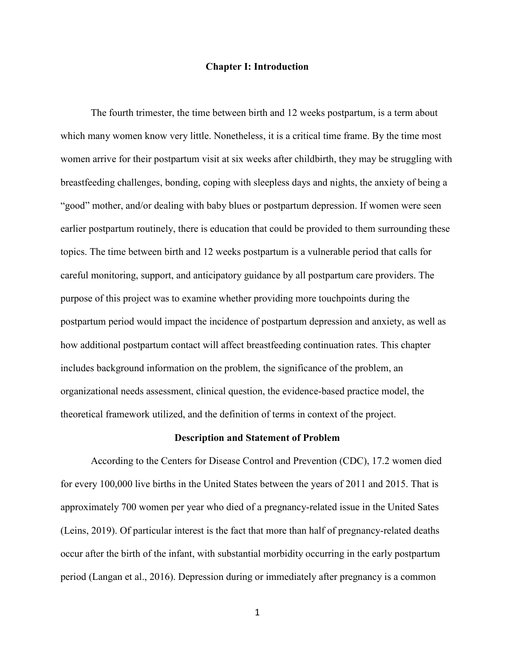### **Chapter I: Introduction**

The fourth trimester, the time between birth and 12 weeks postpartum, is a term about which many women know very little. Nonetheless, it is a critical time frame. By the time most women arrive for their postpartum visit at six weeks after childbirth, they may be struggling with breastfeeding challenges, bonding, coping with sleepless days and nights, the anxiety of being a "good" mother, and/or dealing with baby blues or postpartum depression. If women were seen earlier postpartum routinely, there is education that could be provided to them surrounding these topics. The time between birth and 12 weeks postpartum is a vulnerable period that calls for careful monitoring, support, and anticipatory guidance by all postpartum care providers. The purpose of this project was to examine whether providing more touchpoints during the postpartum period would impact the incidence of postpartum depression and anxiety, as well as how additional postpartum contact will affect breastfeeding continuation rates. This chapter includes background information on the problem, the significance of the problem, an organizational needs assessment, clinical question, the evidence-based practice model, the theoretical framework utilized, and the definition of terms in context of the project.

#### **Description and Statement of Problem**

According to the Centers for Disease Control and Prevention (CDC), 17.2 women died for every 100,000 live births in the United States between the years of 2011 and 2015. That is approximately 700 women per year who died of a pregnancy-related issue in the United Sates (Leins, 2019). Of particular interest is the fact that more than half of pregnancy-related deaths occur after the birth of the infant, with substantial morbidity occurring in the early postpartum period (Langan et al., 2016). Depression during or immediately after pregnancy is a common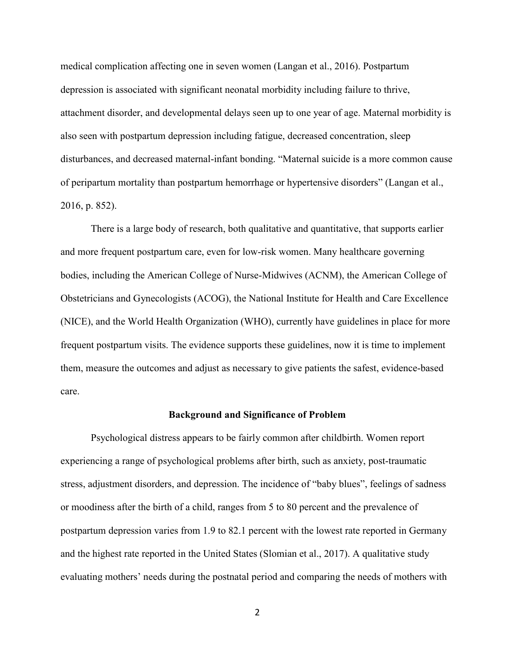medical complication affecting one in seven women (Langan et al., 2016). Postpartum depression is associated with significant neonatal morbidity including failure to thrive, attachment disorder, and developmental delays seen up to one year of age. Maternal morbidity is also seen with postpartum depression including fatigue, decreased concentration, sleep disturbances, and decreased maternal-infant bonding. "Maternal suicide is a more common cause of peripartum mortality than postpartum hemorrhage or hypertensive disorders" (Langan et al., 2016, p. 852).

There is a large body of research, both qualitative and quantitative, that supports earlier and more frequent postpartum care, even for low-risk women. Many healthcare governing bodies, including the American College of Nurse-Midwives (ACNM), the American College of Obstetricians and Gynecologists (ACOG), the National Institute for Health and Care Excellence (NICE), and the World Health Organization (WHO), currently have guidelines in place for more frequent postpartum visits. The evidence supports these guidelines, now it is time to implement them, measure the outcomes and adjust as necessary to give patients the safest, evidence-based care.

#### **Background and Significance of Problem**

Psychological distress appears to be fairly common after childbirth. Women report experiencing a range of psychological problems after birth, such as anxiety, post-traumatic stress, adjustment disorders, and depression. The incidence of "baby blues", feelings of sadness or moodiness after the birth of a child, ranges from 5 to 80 percent and the prevalence of postpartum depression varies from 1.9 to 82.1 percent with the lowest rate reported in Germany and the highest rate reported in the United States (Slomian et al., 2017). A qualitative study evaluating mothers' needs during the postnatal period and comparing the needs of mothers with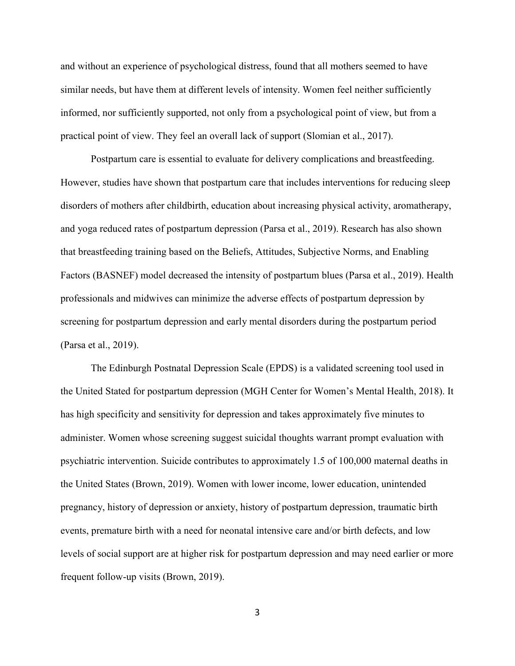and without an experience of psychological distress, found that all mothers seemed to have similar needs, but have them at different levels of intensity. Women feel neither sufficiently informed, nor sufficiently supported, not only from a psychological point of view, but from a practical point of view. They feel an overall lack of support (Slomian et al., 2017).

Postpartum care is essential to evaluate for delivery complications and breastfeeding. However, studies have shown that postpartum care that includes interventions for reducing sleep disorders of mothers after childbirth, education about increasing physical activity, aromatherapy, and yoga reduced rates of postpartum depression (Parsa et al., 2019). Research has also shown that breastfeeding training based on the Beliefs, Attitudes, Subjective Norms, and Enabling Factors (BASNEF) model decreased the intensity of postpartum blues (Parsa et al., 2019). Health professionals and midwives can minimize the adverse effects of postpartum depression by screening for postpartum depression and early mental disorders during the postpartum period (Parsa et al., 2019).

The Edinburgh Postnatal Depression Scale (EPDS) is a validated screening tool used in the United Stated for postpartum depression (MGH Center for Women's Mental Health, 2018). It has high specificity and sensitivity for depression and takes approximately five minutes to administer. Women whose screening suggest suicidal thoughts warrant prompt evaluation with psychiatric intervention. Suicide contributes to approximately 1.5 of 100,000 maternal deaths in the United States (Brown, 2019). Women with lower income, lower education, unintended pregnancy, history of depression or anxiety, history of postpartum depression, traumatic birth events, premature birth with a need for neonatal intensive care and/or birth defects, and low levels of social support are at higher risk for postpartum depression and may need earlier or more frequent follow-up visits (Brown, 2019).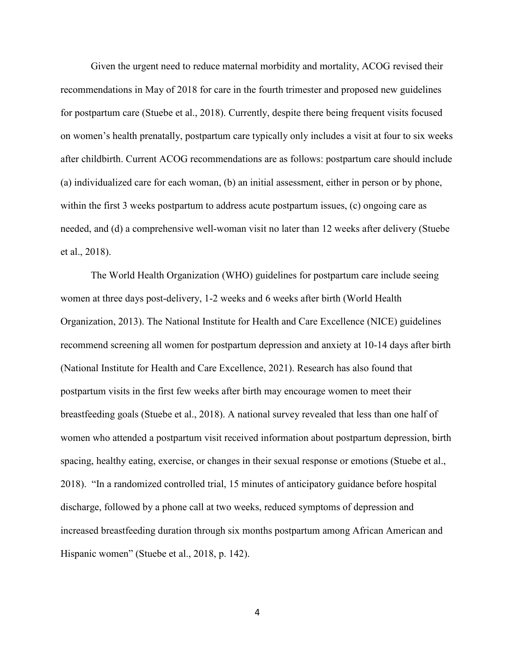Given the urgent need to reduce maternal morbidity and mortality, ACOG revised their recommendations in May of 2018 for care in the fourth trimester and proposed new guidelines for postpartum care (Stuebe et al., 2018). Currently, despite there being frequent visits focused on women's health prenatally, postpartum care typically only includes a visit at four to six weeks after childbirth. Current ACOG recommendations are as follows: postpartum care should include (a) individualized care for each woman, (b) an initial assessment, either in person or by phone, within the first 3 weeks postpartum to address acute postpartum issues, (c) ongoing care as needed, and (d) a comprehensive well-woman visit no later than 12 weeks after delivery (Stuebe et al., 2018).

The World Health Organization (WHO) guidelines for postpartum care include seeing women at three days post-delivery, 1-2 weeks and 6 weeks after birth (World Health Organization, 2013). The National Institute for Health and Care Excellence (NICE) guidelines recommend screening all women for postpartum depression and anxiety at 10-14 days after birth (National Institute for Health and Care Excellence, 2021). Research has also found that postpartum visits in the first few weeks after birth may encourage women to meet their breastfeeding goals (Stuebe et al., 2018). A national survey revealed that less than one half of women who attended a postpartum visit received information about postpartum depression, birth spacing, healthy eating, exercise, or changes in their sexual response or emotions (Stuebe et al., 2018). "In a randomized controlled trial, 15 minutes of anticipatory guidance before hospital discharge, followed by a phone call at two weeks, reduced symptoms of depression and increased breastfeeding duration through six months postpartum among African American and Hispanic women" (Stuebe et al., 2018, p. 142).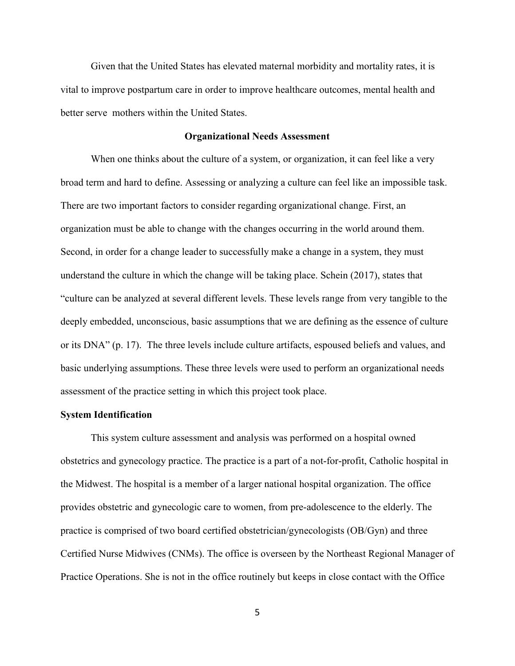Given that the United States has elevated maternal morbidity and mortality rates, it is vital to improve postpartum care in order to improve healthcare outcomes, mental health and better serve mothers within the United States.

### **Organizational Needs Assessment**

When one thinks about the culture of a system, or organization, it can feel like a very broad term and hard to define. Assessing or analyzing a culture can feel like an impossible task. There are two important factors to consider regarding organizational change. First, an organization must be able to change with the changes occurring in the world around them. Second, in order for a change leader to successfully make a change in a system, they must understand the culture in which the change will be taking place. Schein (2017), states that "culture can be analyzed at several different levels. These levels range from very tangible to the deeply embedded, unconscious, basic assumptions that we are defining as the essence of culture or its DNA" (p. 17). The three levels include culture artifacts, espoused beliefs and values, and basic underlying assumptions. These three levels were used to perform an organizational needs assessment of the practice setting in which this project took place.

### **System Identification**

This system culture assessment and analysis was performed on a hospital owned obstetrics and gynecology practice. The practice is a part of a not-for-profit, Catholic hospital in the Midwest. The hospital is a member of a larger national hospital organization. The office provides obstetric and gynecologic care to women, from pre-adolescence to the elderly. The practice is comprised of two board certified obstetrician/gynecologists (OB/Gyn) and three Certified Nurse Midwives (CNMs). The office is overseen by the Northeast Regional Manager of Practice Operations. She is not in the office routinely but keeps in close contact with the Office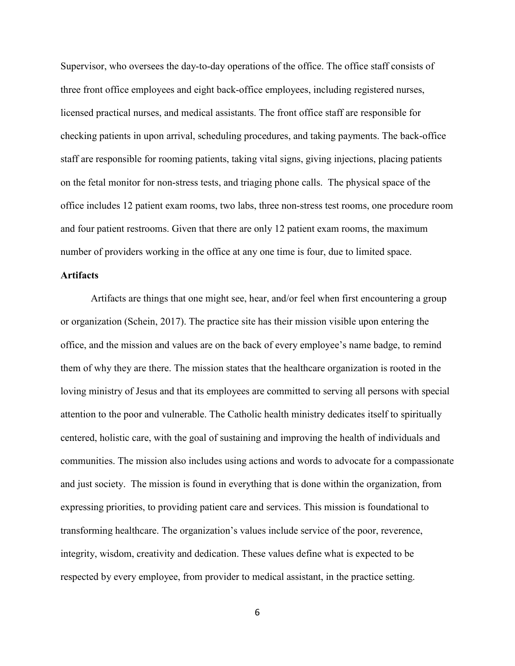Supervisor, who oversees the day-to-day operations of the office. The office staff consists of three front office employees and eight back-office employees, including registered nurses, licensed practical nurses, and medical assistants. The front office staff are responsible for checking patients in upon arrival, scheduling procedures, and taking payments. The back-office staff are responsible for rooming patients, taking vital signs, giving injections, placing patients on the fetal monitor for non-stress tests, and triaging phone calls. The physical space of the office includes 12 patient exam rooms, two labs, three non-stress test rooms, one procedure room and four patient restrooms. Given that there are only 12 patient exam rooms, the maximum number of providers working in the office at any one time is four, due to limited space.

## **Artifacts**

Artifacts are things that one might see, hear, and/or feel when first encountering a group or organization (Schein, 2017). The practice site has their mission visible upon entering the office, and the mission and values are on the back of every employee's name badge, to remind them of why they are there. The mission states that the healthcare organization is rooted in the loving ministry of Jesus and that its employees are committed to serving all persons with special attention to the poor and vulnerable. The Catholic health ministry dedicates itself to spiritually centered, holistic care, with the goal of sustaining and improving the health of individuals and communities. The mission also includes using actions and words to advocate for a compassionate and just society. The mission is found in everything that is done within the organization, from expressing priorities, to providing patient care and services. This mission is foundational to transforming healthcare. The organization's values include service of the poor, reverence, integrity, wisdom, creativity and dedication. These values define what is expected to be respected by every employee, from provider to medical assistant, in the practice setting.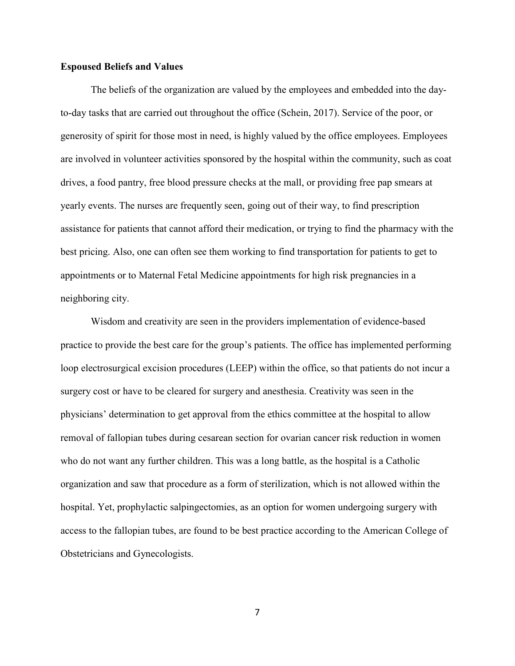### **Espoused Beliefs and Values**

The beliefs of the organization are valued by the employees and embedded into the dayto-day tasks that are carried out throughout the office (Schein, 2017). Service of the poor, or generosity of spirit for those most in need, is highly valued by the office employees. Employees are involved in volunteer activities sponsored by the hospital within the community, such as coat drives, a food pantry, free blood pressure checks at the mall, or providing free pap smears at yearly events. The nurses are frequently seen, going out of their way, to find prescription assistance for patients that cannot afford their medication, or trying to find the pharmacy with the best pricing. Also, one can often see them working to find transportation for patients to get to appointments or to Maternal Fetal Medicine appointments for high risk pregnancies in a neighboring city.

Wisdom and creativity are seen in the providers implementation of evidence-based practice to provide the best care for the group's patients. The office has implemented performing loop electrosurgical excision procedures (LEEP) within the office, so that patients do not incur a surgery cost or have to be cleared for surgery and anesthesia. Creativity was seen in the physicians' determination to get approval from the ethics committee at the hospital to allow removal of fallopian tubes during cesarean section for ovarian cancer risk reduction in women who do not want any further children. This was a long battle, as the hospital is a Catholic organization and saw that procedure as a form of sterilization, which is not allowed within the hospital. Yet, prophylactic salpingectomies, as an option for women undergoing surgery with access to the fallopian tubes, are found to be best practice according to the American College of Obstetricians and Gynecologists.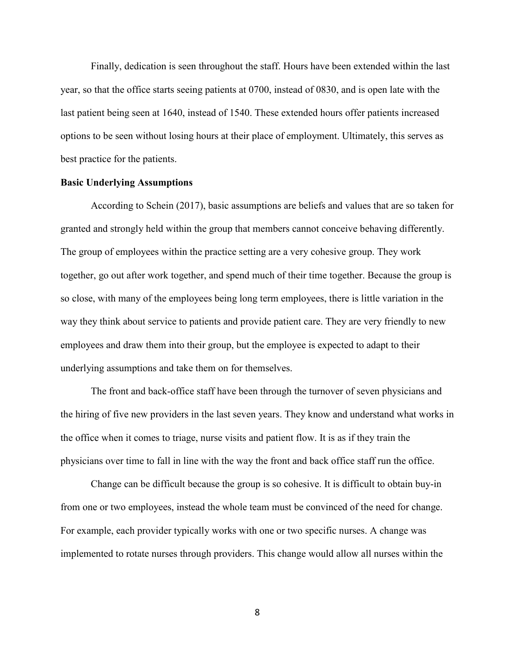Finally, dedication is seen throughout the staff. Hours have been extended within the last year, so that the office starts seeing patients at 0700, instead of 0830, and is open late with the last patient being seen at 1640, instead of 1540. These extended hours offer patients increased options to be seen without losing hours at their place of employment. Ultimately, this serves as best practice for the patients.

### **Basic Underlying Assumptions**

According to Schein (2017), basic assumptions are beliefs and values that are so taken for granted and strongly held within the group that members cannot conceive behaving differently. The group of employees within the practice setting are a very cohesive group. They work together, go out after work together, and spend much of their time together. Because the group is so close, with many of the employees being long term employees, there is little variation in the way they think about service to patients and provide patient care. They are very friendly to new employees and draw them into their group, but the employee is expected to adapt to their underlying assumptions and take them on for themselves.

The front and back-office staff have been through the turnover of seven physicians and the hiring of five new providers in the last seven years. They know and understand what works in the office when it comes to triage, nurse visits and patient flow. It is as if they train the physicians over time to fall in line with the way the front and back office staff run the office.

Change can be difficult because the group is so cohesive. It is difficult to obtain buy-in from one or two employees, instead the whole team must be convinced of the need for change. For example, each provider typically works with one or two specific nurses. A change was implemented to rotate nurses through providers. This change would allow all nurses within the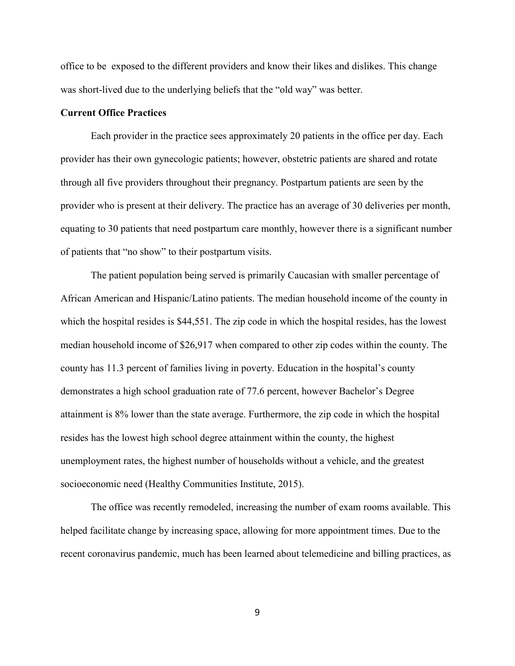office to be exposed to the different providers and know their likes and dislikes. This change was short-lived due to the underlying beliefs that the "old way" was better.

### **Current Office Practices**

 Each provider in the practice sees approximately 20 patients in the office per day. Each provider has their own gynecologic patients; however, obstetric patients are shared and rotate through all five providers throughout their pregnancy. Postpartum patients are seen by the provider who is present at their delivery. The practice has an average of 30 deliveries per month, equating to 30 patients that need postpartum care monthly, however there is a significant number of patients that "no show" to their postpartum visits.

The patient population being served is primarily Caucasian with smaller percentage of African American and Hispanic/Latino patients. The median household income of the county in which the hospital resides is \$44,551. The zip code in which the hospital resides, has the lowest median household income of \$26,917 when compared to other zip codes within the county. The county has 11.3 percent of families living in poverty. Education in the hospital's county demonstrates a high school graduation rate of 77.6 percent, however Bachelor's Degree attainment is 8% lower than the state average. Furthermore, the zip code in which the hospital resides has the lowest high school degree attainment within the county, the highest unemployment rates, the highest number of households without a vehicle, and the greatest socioeconomic need (Healthy Communities Institute, 2015).

The office was recently remodeled, increasing the number of exam rooms available. This helped facilitate change by increasing space, allowing for more appointment times. Due to the recent coronavirus pandemic, much has been learned about telemedicine and billing practices, as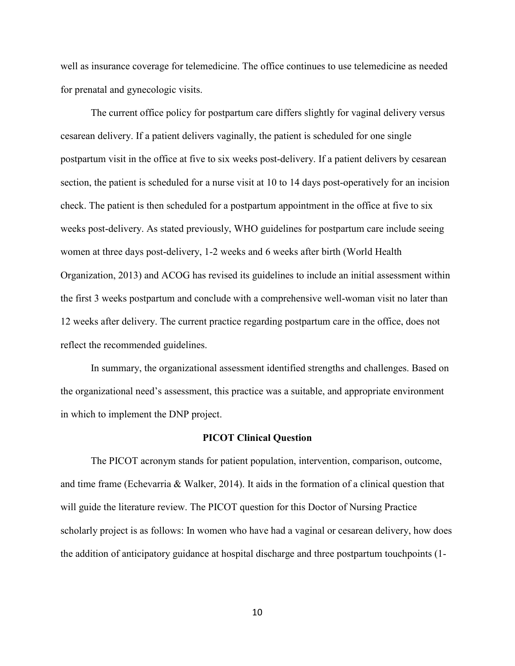well as insurance coverage for telemedicine. The office continues to use telemedicine as needed for prenatal and gynecologic visits.

The current office policy for postpartum care differs slightly for vaginal delivery versus cesarean delivery. If a patient delivers vaginally, the patient is scheduled for one single postpartum visit in the office at five to six weeks post-delivery. If a patient delivers by cesarean section, the patient is scheduled for a nurse visit at 10 to 14 days post-operatively for an incision check. The patient is then scheduled for a postpartum appointment in the office at five to six weeks post-delivery. As stated previously, WHO guidelines for postpartum care include seeing women at three days post-delivery, 1-2 weeks and 6 weeks after birth (World Health Organization, 2013) and ACOG has revised its guidelines to include an initial assessment within the first 3 weeks postpartum and conclude with a comprehensive well-woman visit no later than 12 weeks after delivery. The current practice regarding postpartum care in the office, does not reflect the recommended guidelines.

 In summary, the organizational assessment identified strengths and challenges. Based on the organizational need's assessment, this practice was a suitable, and appropriate environment in which to implement the DNP project.

#### **PICOT Clinical Question**

The PICOT acronym stands for patient population, intervention, comparison, outcome, and time frame (Echevarria & Walker, 2014). It aids in the formation of a clinical question that will guide the literature review. The PICOT question for this Doctor of Nursing Practice scholarly project is as follows: In women who have had a vaginal or cesarean delivery, how does the addition of anticipatory guidance at hospital discharge and three postpartum touchpoints (1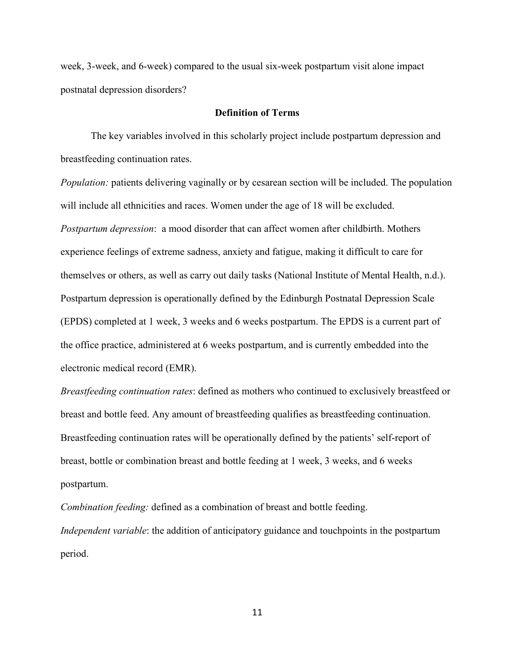week, 3-week, and 6-week) compared to the usual six-week postpartum visit alone impact postnatal depression disorders?

### **Definition of Terms**

The key variables involved in this scholarly project include postpartum depression and breastfeeding continuation rates.

*Population:* patients delivering vaginally or by cesarean section will be included. The population will include all ethnicities and races. Women under the age of 18 will be excluded. *Postpartum depression*: a mood disorder that can affect women after childbirth. Mothers experience feelings of extreme sadness, anxiety and fatigue, making it difficult to care for themselves or others, as well as carry out daily tasks (National Institute of Mental Health, n.d.). Postpartum depression is operationally defined by the Edinburgh Postnatal Depression Scale (EPDS) completed at 1 week, 3 weeks and 6 weeks postpartum. The EPDS is a current part of the office practice, administered at 6 weeks postpartum, and is currently embedded into the electronic medical record (EMR).

*Breastfeeding continuation rates*: defined as mothers who continued to exclusively breastfeed or breast and bottle feed. Any amount of breastfeeding qualifies as breastfeeding continuation. Breastfeeding continuation rates will be operationally defined by the patients' self-report of breast, bottle or combination breast and bottle feeding at 1 week, 3 weeks, and 6 weeks postpartum.

*Combination feeding:* defined as a combination of breast and bottle feeding. *Independent variable*: the addition of anticipatory guidance and touchpoints in the postpartum period.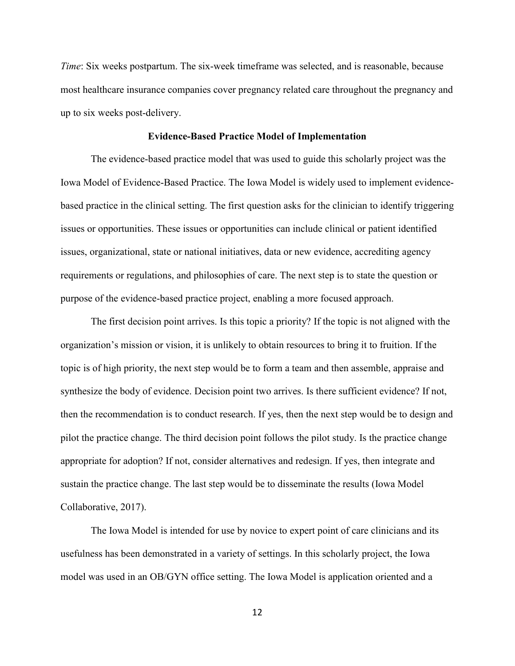*Time*: Six weeks postpartum. The six-week timeframe was selected, and is reasonable, because most healthcare insurance companies cover pregnancy related care throughout the pregnancy and up to six weeks post-delivery.

#### **Evidence-Based Practice Model of Implementation**

The evidence-based practice model that was used to guide this scholarly project was the Iowa Model of Evidence-Based Practice. The Iowa Model is widely used to implement evidencebased practice in the clinical setting. The first question asks for the clinician to identify triggering issues or opportunities. These issues or opportunities can include clinical or patient identified issues, organizational, state or national initiatives, data or new evidence, accrediting agency requirements or regulations, and philosophies of care. The next step is to state the question or purpose of the evidence-based practice project, enabling a more focused approach.

The first decision point arrives. Is this topic a priority? If the topic is not aligned with the organization's mission or vision, it is unlikely to obtain resources to bring it to fruition. If the topic is of high priority, the next step would be to form a team and then assemble, appraise and synthesize the body of evidence. Decision point two arrives. Is there sufficient evidence? If not, then the recommendation is to conduct research. If yes, then the next step would be to design and pilot the practice change. The third decision point follows the pilot study. Is the practice change appropriate for adoption? If not, consider alternatives and redesign. If yes, then integrate and sustain the practice change. The last step would be to disseminate the results (Iowa Model Collaborative, 2017).

 The Iowa Model is intended for use by novice to expert point of care clinicians and its usefulness has been demonstrated in a variety of settings. In this scholarly project, the Iowa model was used in an OB/GYN office setting. The Iowa Model is application oriented and a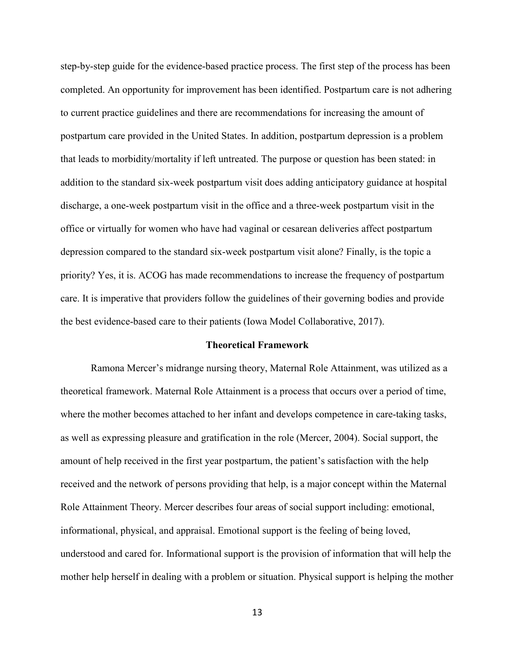step-by-step guide for the evidence-based practice process. The first step of the process has been completed. An opportunity for improvement has been identified. Postpartum care is not adhering to current practice guidelines and there are recommendations for increasing the amount of postpartum care provided in the United States. In addition, postpartum depression is a problem that leads to morbidity/mortality if left untreated. The purpose or question has been stated: in addition to the standard six-week postpartum visit does adding anticipatory guidance at hospital discharge, a one-week postpartum visit in the office and a three-week postpartum visit in the office or virtually for women who have had vaginal or cesarean deliveries affect postpartum depression compared to the standard six-week postpartum visit alone? Finally, is the topic a priority? Yes, it is. ACOG has made recommendations to increase the frequency of postpartum care. It is imperative that providers follow the guidelines of their governing bodies and provide the best evidence-based care to their patients (Iowa Model Collaborative, 2017).

#### **Theoretical Framework**

Ramona Mercer's midrange nursing theory, Maternal Role Attainment, was utilized as a theoretical framework. Maternal Role Attainment is a process that occurs over a period of time, where the mother becomes attached to her infant and develops competence in care-taking tasks, as well as expressing pleasure and gratification in the role (Mercer, 2004). Social support, the amount of help received in the first year postpartum, the patient's satisfaction with the help received and the network of persons providing that help, is a major concept within the Maternal Role Attainment Theory. Mercer describes four areas of social support including: emotional, informational, physical, and appraisal. Emotional support is the feeling of being loved, understood and cared for. Informational support is the provision of information that will help the mother help herself in dealing with a problem or situation. Physical support is helping the mother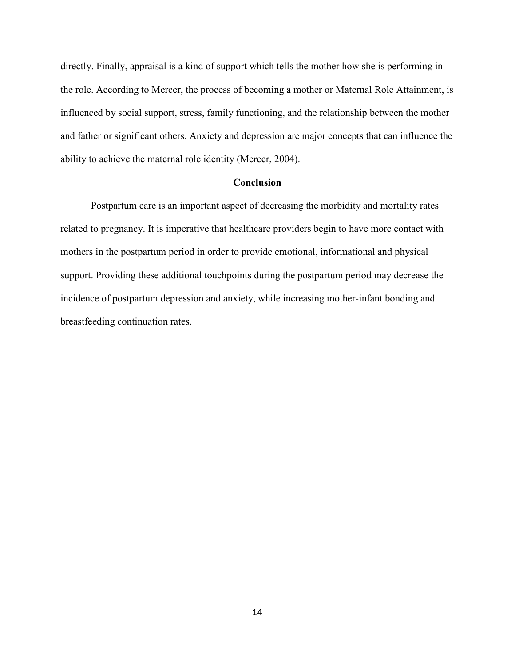directly. Finally, appraisal is a kind of support which tells the mother how she is performing in the role. According to Mercer, the process of becoming a mother or Maternal Role Attainment, is influenced by social support, stress, family functioning, and the relationship between the mother and father or significant others. Anxiety and depression are major concepts that can influence the ability to achieve the maternal role identity (Mercer, 2004).

### **Conclusion**

Postpartum care is an important aspect of decreasing the morbidity and mortality rates related to pregnancy. It is imperative that healthcare providers begin to have more contact with mothers in the postpartum period in order to provide emotional, informational and physical support. Providing these additional touchpoints during the postpartum period may decrease the incidence of postpartum depression and anxiety, while increasing mother-infant bonding and breastfeeding continuation rates.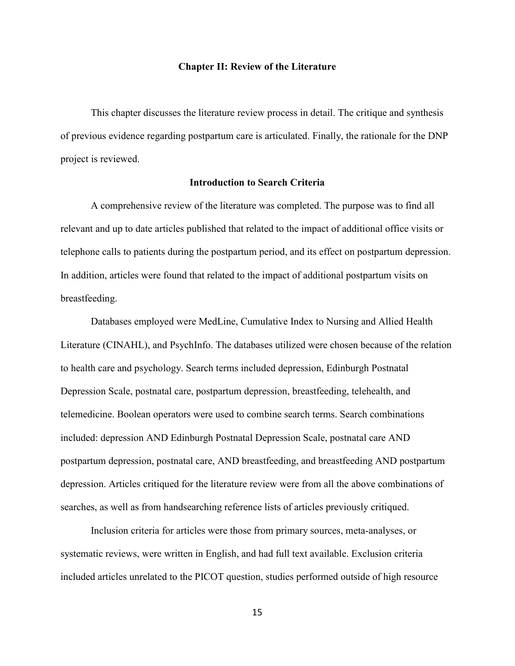#### **Chapter II: Review of the Literature**

 This chapter discusses the literature review process in detail. The critique and synthesis of previous evidence regarding postpartum care is articulated. Finally, the rationale for the DNP project is reviewed.

## **Introduction to Search Criteria**

A comprehensive review of the literature was completed. The purpose was to find all relevant and up to date articles published that related to the impact of additional office visits or telephone calls to patients during the postpartum period, and its effect on postpartum depression. In addition, articles were found that related to the impact of additional postpartum visits on breastfeeding.

 Databases employed were MedLine, Cumulative Index to Nursing and Allied Health Literature (CINAHL), and PsychInfo. The databases utilized were chosen because of the relation to health care and psychology. Search terms included depression, Edinburgh Postnatal Depression Scale, postnatal care, postpartum depression, breastfeeding, telehealth, and telemedicine. Boolean operators were used to combine search terms. Search combinations included: depression AND Edinburgh Postnatal Depression Scale, postnatal care AND postpartum depression, postnatal care, AND breastfeeding, and breastfeeding AND postpartum depression. Articles critiqued for the literature review were from all the above combinations of searches, as well as from handsearching reference lists of articles previously critiqued.

 Inclusion criteria for articles were those from primary sources, meta-analyses, or systematic reviews, were written in English, and had full text available. Exclusion criteria included articles unrelated to the PICOT question, studies performed outside of high resource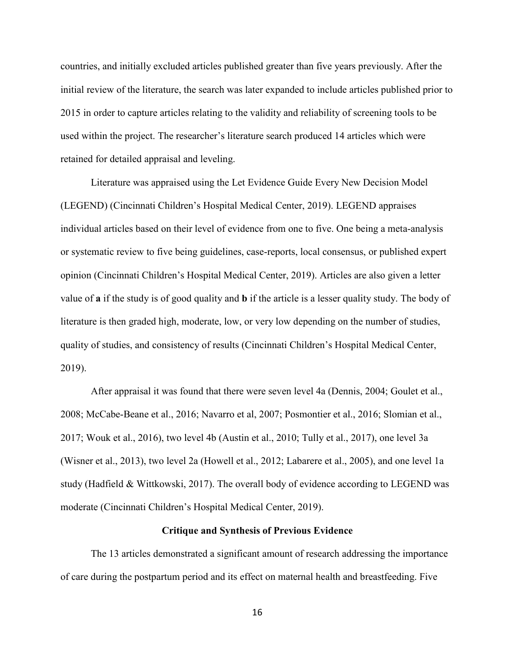countries, and initially excluded articles published greater than five years previously. After the initial review of the literature, the search was later expanded to include articles published prior to 2015 in order to capture articles relating to the validity and reliability of screening tools to be used within the project. The researcher's literature search produced 14 articles which were retained for detailed appraisal and leveling.

Literature was appraised using the Let Evidence Guide Every New Decision Model (LEGEND) (Cincinnati Children's Hospital Medical Center, 2019). LEGEND appraises individual articles based on their level of evidence from one to five. One being a meta-analysis or systematic review to five being guidelines, case-reports, local consensus, or published expert opinion (Cincinnati Children's Hospital Medical Center, 2019). Articles are also given a letter value of **a** if the study is of good quality and **b** if the article is a lesser quality study. The body of literature is then graded high, moderate, low, or very low depending on the number of studies, quality of studies, and consistency of results (Cincinnati Children's Hospital Medical Center, 2019).

After appraisal it was found that there were seven level 4a (Dennis, 2004; Goulet et al., 2008; McCabe-Beane et al., 2016; Navarro et al, 2007; Posmontier et al., 2016; Slomian et al., 2017; Wouk et al., 2016), two level 4b (Austin et al., 2010; Tully et al., 2017), one level 3a (Wisner et al., 2013), two level 2a (Howell et al., 2012; Labarere et al., 2005), and one level 1a study (Hadfield & Wittkowski, 2017). The overall body of evidence according to LEGEND was moderate (Cincinnati Children's Hospital Medical Center, 2019).

#### **Critique and Synthesis of Previous Evidence**

The 13 articles demonstrated a significant amount of research addressing the importance of care during the postpartum period and its effect on maternal health and breastfeeding. Five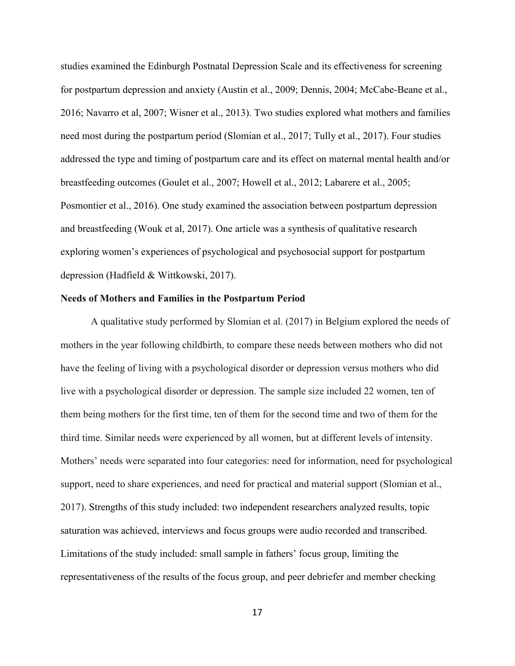studies examined the Edinburgh Postnatal Depression Scale and its effectiveness for screening for postpartum depression and anxiety (Austin et al., 2009; Dennis, 2004; McCabe-Beane et al., 2016; Navarro et al, 2007; Wisner et al., 2013). Two studies explored what mothers and families need most during the postpartum period (Slomian et al., 2017; Tully et al., 2017). Four studies addressed the type and timing of postpartum care and its effect on maternal mental health and/or breastfeeding outcomes (Goulet et al., 2007; Howell et al., 2012; Labarere et al., 2005; Posmontier et al., 2016). One study examined the association between postpartum depression and breastfeeding (Wouk et al, 2017). One article was a synthesis of qualitative research exploring women's experiences of psychological and psychosocial support for postpartum depression (Hadfield & Wittkowski, 2017).

#### **Needs of Mothers and Families in the Postpartum Period**

A qualitative study performed by Slomian et al. (2017) in Belgium explored the needs of mothers in the year following childbirth, to compare these needs between mothers who did not have the feeling of living with a psychological disorder or depression versus mothers who did live with a psychological disorder or depression. The sample size included 22 women, ten of them being mothers for the first time, ten of them for the second time and two of them for the third time. Similar needs were experienced by all women, but at different levels of intensity. Mothers' needs were separated into four categories: need for information, need for psychological support, need to share experiences, and need for practical and material support (Slomian et al., 2017). Strengths of this study included: two independent researchers analyzed results, topic saturation was achieved, interviews and focus groups were audio recorded and transcribed. Limitations of the study included: small sample in fathers' focus group, limiting the representativeness of the results of the focus group, and peer debriefer and member checking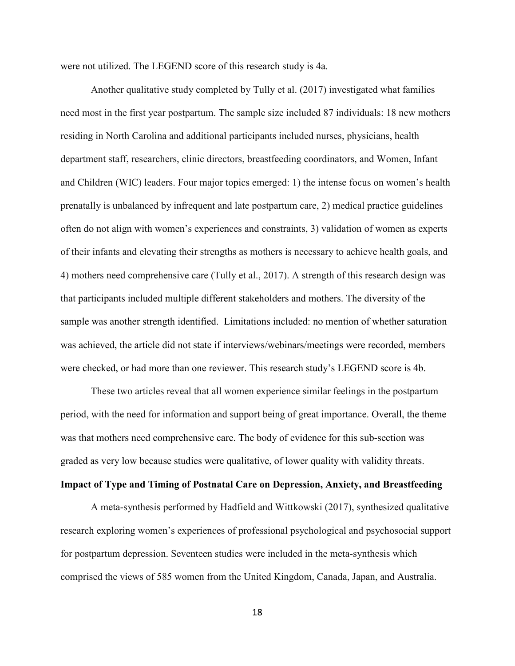were not utilized. The LEGEND score of this research study is 4a.

 Another qualitative study completed by Tully et al. (2017) investigated what families need most in the first year postpartum. The sample size included 87 individuals: 18 new mothers residing in North Carolina and additional participants included nurses, physicians, health department staff, researchers, clinic directors, breastfeeding coordinators, and Women, Infant and Children (WIC) leaders. Four major topics emerged: 1) the intense focus on women's health prenatally is unbalanced by infrequent and late postpartum care, 2) medical practice guidelines often do not align with women's experiences and constraints, 3) validation of women as experts of their infants and elevating their strengths as mothers is necessary to achieve health goals, and 4) mothers need comprehensive care (Tully et al., 2017). A strength of this research design was that participants included multiple different stakeholders and mothers. The diversity of the sample was another strength identified. Limitations included: no mention of whether saturation was achieved, the article did not state if interviews/webinars/meetings were recorded, members were checked, or had more than one reviewer. This research study's LEGEND score is 4b.

 These two articles reveal that all women experience similar feelings in the postpartum period, with the need for information and support being of great importance. Overall, the theme was that mothers need comprehensive care. The body of evidence for this sub-section was graded as very low because studies were qualitative, of lower quality with validity threats.

### **Impact of Type and Timing of Postnatal Care on Depression, Anxiety, and Breastfeeding**

A meta-synthesis performed by Hadfield and Wittkowski (2017), synthesized qualitative research exploring women's experiences of professional psychological and psychosocial support for postpartum depression. Seventeen studies were included in the meta-synthesis which comprised the views of 585 women from the United Kingdom, Canada, Japan, and Australia.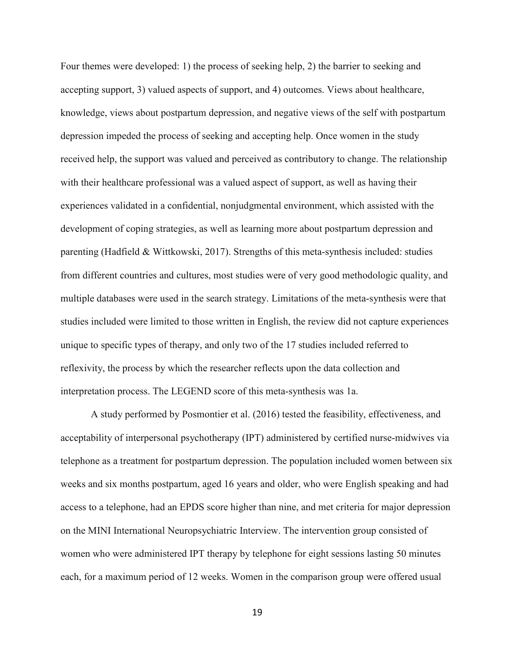Four themes were developed: 1) the process of seeking help, 2) the barrier to seeking and accepting support, 3) valued aspects of support, and 4) outcomes. Views about healthcare, knowledge, views about postpartum depression, and negative views of the self with postpartum depression impeded the process of seeking and accepting help. Once women in the study received help, the support was valued and perceived as contributory to change. The relationship with their healthcare professional was a valued aspect of support, as well as having their experiences validated in a confidential, nonjudgmental environment, which assisted with the development of coping strategies, as well as learning more about postpartum depression and parenting (Hadfield & Wittkowski, 2017). Strengths of this meta-synthesis included: studies from different countries and cultures, most studies were of very good methodologic quality, and multiple databases were used in the search strategy. Limitations of the meta-synthesis were that studies included were limited to those written in English, the review did not capture experiences unique to specific types of therapy, and only two of the 17 studies included referred to reflexivity, the process by which the researcher reflects upon the data collection and interpretation process. The LEGEND score of this meta-synthesis was 1a.

A study performed by Posmontier et al. (2016) tested the feasibility, effectiveness, and acceptability of interpersonal psychotherapy (IPT) administered by certified nurse-midwives via telephone as a treatment for postpartum depression. The population included women between six weeks and six months postpartum, aged 16 years and older, who were English speaking and had access to a telephone, had an EPDS score higher than nine, and met criteria for major depression on the MINI International Neuropsychiatric Interview. The intervention group consisted of women who were administered IPT therapy by telephone for eight sessions lasting 50 minutes each, for a maximum period of 12 weeks. Women in the comparison group were offered usual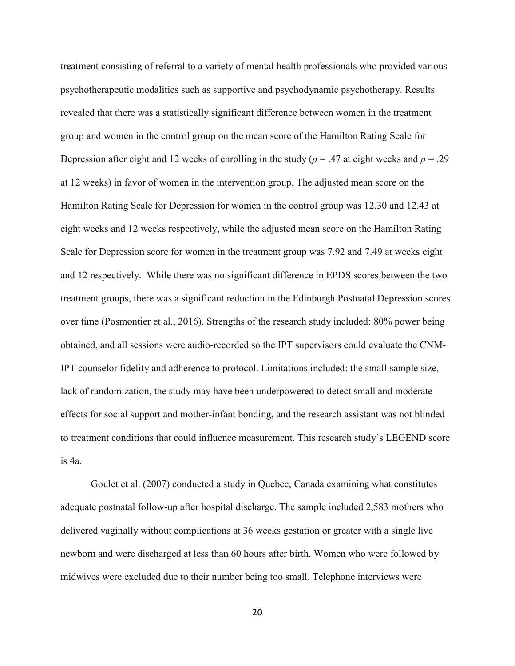treatment consisting of referral to a variety of mental health professionals who provided various psychotherapeutic modalities such as supportive and psychodynamic psychotherapy. Results revealed that there was a statistically significant difference between women in the treatment group and women in the control group on the mean score of the Hamilton Rating Scale for Depression after eight and 12 weeks of enrolling in the study ( $p = .47$  at eight weeks and  $p = .29$ ) at 12 weeks) in favor of women in the intervention group. The adjusted mean score on the Hamilton Rating Scale for Depression for women in the control group was 12.30 and 12.43 at eight weeks and 12 weeks respectively, while the adjusted mean score on the Hamilton Rating Scale for Depression score for women in the treatment group was 7.92 and 7.49 at weeks eight and 12 respectively. While there was no significant difference in EPDS scores between the two treatment groups, there was a significant reduction in the Edinburgh Postnatal Depression scores over time (Posmontier et al., 2016). Strengths of the research study included: 80% power being obtained, and all sessions were audio-recorded so the IPT supervisors could evaluate the CNM-IPT counselor fidelity and adherence to protocol. Limitations included: the small sample size, lack of randomization, the study may have been underpowered to detect small and moderate effects for social support and mother-infant bonding, and the research assistant was not blinded to treatment conditions that could influence measurement. This research study's LEGEND score is 4a.

Goulet et al. (2007) conducted a study in Quebec, Canada examining what constitutes adequate postnatal follow-up after hospital discharge. The sample included 2,583 mothers who delivered vaginally without complications at 36 weeks gestation or greater with a single live newborn and were discharged at less than 60 hours after birth. Women who were followed by midwives were excluded due to their number being too small. Telephone interviews were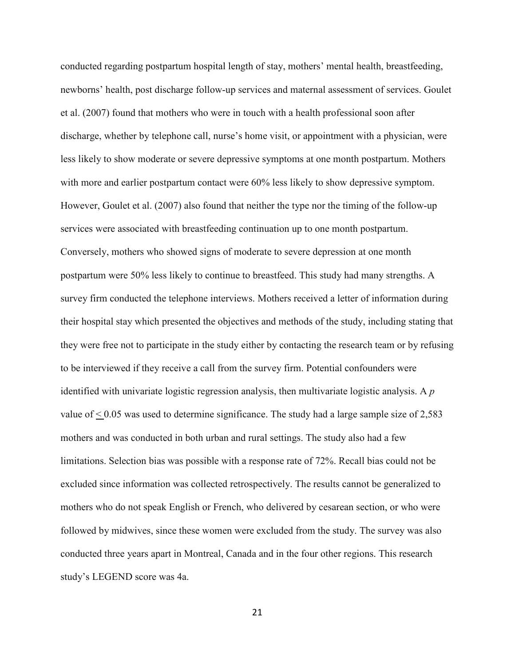conducted regarding postpartum hospital length of stay, mothers' mental health, breastfeeding, newborns' health, post discharge follow-up services and maternal assessment of services. Goulet et al. (2007) found that mothers who were in touch with a health professional soon after discharge, whether by telephone call, nurse's home visit, or appointment with a physician, were less likely to show moderate or severe depressive symptoms at one month postpartum. Mothers with more and earlier postpartum contact were  $60\%$  less likely to show depressive symptom. However, Goulet et al. (2007) also found that neither the type nor the timing of the follow-up services were associated with breastfeeding continuation up to one month postpartum. Conversely, mothers who showed signs of moderate to severe depression at one month postpartum were 50% less likely to continue to breastfeed. This study had many strengths. A survey firm conducted the telephone interviews. Mothers received a letter of information during their hospital stay which presented the objectives and methods of the study, including stating that they were free not to participate in the study either by contacting the research team or by refusing to be interviewed if they receive a call from the survey firm. Potential confounders were identified with univariate logistic regression analysis, then multivariate logistic analysis. A *p* value of  $\leq 0.05$  was used to determine significance. The study had a large sample size of 2,583 mothers and was conducted in both urban and rural settings. The study also had a few limitations. Selection bias was possible with a response rate of 72%. Recall bias could not be excluded since information was collected retrospectively. The results cannot be generalized to mothers who do not speak English or French, who delivered by cesarean section, or who were followed by midwives, since these women were excluded from the study. The survey was also conducted three years apart in Montreal, Canada and in the four other regions. This research study's LEGEND score was 4a.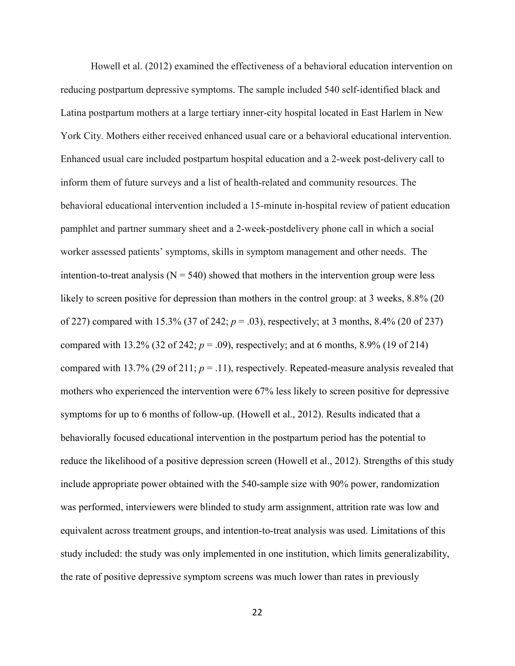Howell et al. (2012) examined the effectiveness of a behavioral education intervention on reducing postpartum depressive symptoms. The sample included 540 self-identified black and Latina postpartum mothers at a large tertiary inner-city hospital located in East Harlem in New York City. Mothers either received enhanced usual care or a behavioral educational intervention. Enhanced usual care included postpartum hospital education and a 2-week post-delivery call to inform them of future surveys and a list of health-related and community resources. The behavioral educational intervention included a 15-minute in-hospital review of patient education pamphlet and partner summary sheet and a 2-week-postdelivery phone call in which a social worker assessed patients' symptoms, skills in symptom management and other needs. The intention-to-treat analysis  $(N = 540)$  showed that mothers in the intervention group were less likely to screen positive for depression than mothers in the control group: at 3 weeks, 8.8% (20) of 227) compared with 15.3% (37 of 242; *p* = .03), respectively; at 3 months, 8.4% (20 of 237) compared with 13.2% (32 of 242;  $p = .09$ ), respectively; and at 6 months, 8.9% (19 of 214) compared with 13.7% (29 of 211;  $p = .11$ ), respectively. Repeated-measure analysis revealed that mothers who experienced the intervention were 67% less likely to screen positive for depressive symptoms for up to 6 months of follow-up. (Howell et al., 2012). Results indicated that a behaviorally focused educational intervention in the postpartum period has the potential to reduce the likelihood of a positive depression screen (Howell et al., 2012). Strengths of this study include appropriate power obtained with the 540-sample size with 90% power, randomization was performed, interviewers were blinded to study arm assignment, attrition rate was low and equivalent across treatment groups, and intention-to-treat analysis was used. Limitations of this study included: the study was only implemented in one institution, which limits generalizability, the rate of positive depressive symptom screens was much lower than rates in previously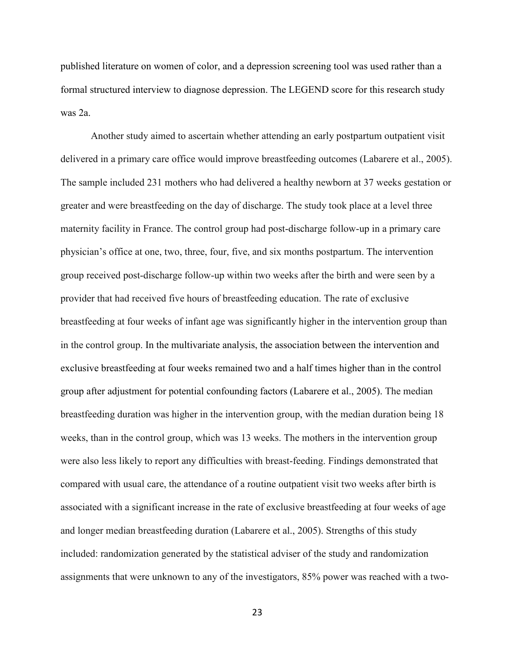published literature on women of color, and a depression screening tool was used rather than a formal structured interview to diagnose depression. The LEGEND score for this research study was 2a.

Another study aimed to ascertain whether attending an early postpartum outpatient visit delivered in a primary care office would improve breastfeeding outcomes (Labarere et al., 2005). The sample included 231 mothers who had delivered a healthy newborn at 37 weeks gestation or greater and were breastfeeding on the day of discharge. The study took place at a level three maternity facility in France. The control group had post-discharge follow-up in a primary care physician's office at one, two, three, four, five, and six months postpartum. The intervention group received post-discharge follow-up within two weeks after the birth and were seen by a provider that had received five hours of breastfeeding education. The rate of exclusive breastfeeding at four weeks of infant age was significantly higher in the intervention group than in the control group. In the multivariate analysis, the association between the intervention and exclusive breastfeeding at four weeks remained two and a half times higher than in the control group after adjustment for potential confounding factors (Labarere et al., 2005). The median breastfeeding duration was higher in the intervention group, with the median duration being 18 weeks, than in the control group, which was 13 weeks. The mothers in the intervention group were also less likely to report any difficulties with breast-feeding. Findings demonstrated that compared with usual care, the attendance of a routine outpatient visit two weeks after birth is associated with a significant increase in the rate of exclusive breastfeeding at four weeks of age and longer median breastfeeding duration (Labarere et al., 2005). Strengths of this study included: randomization generated by the statistical adviser of the study and randomization assignments that were unknown to any of the investigators, 85% power was reached with a two-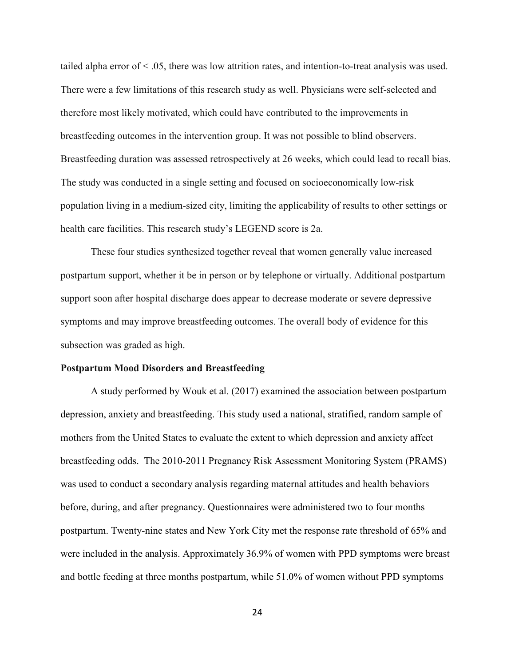tailed alpha error of  $\leq 0.05$ , there was low attrition rates, and intention-to-treat analysis was used. There were a few limitations of this research study as well. Physicians were self-selected and therefore most likely motivated, which could have contributed to the improvements in breastfeeding outcomes in the intervention group. It was not possible to blind observers. Breastfeeding duration was assessed retrospectively at 26 weeks, which could lead to recall bias. The study was conducted in a single setting and focused on socioeconomically low-risk population living in a medium-sized city, limiting the applicability of results to other settings or health care facilities. This research study's LEGEND score is 2a.

These four studies synthesized together reveal that women generally value increased postpartum support, whether it be in person or by telephone or virtually. Additional postpartum support soon after hospital discharge does appear to decrease moderate or severe depressive symptoms and may improve breastfeeding outcomes. The overall body of evidence for this subsection was graded as high.

#### **Postpartum Mood Disorders and Breastfeeding**

A study performed by Wouk et al. (2017) examined the association between postpartum depression, anxiety and breastfeeding. This study used a national, stratified, random sample of mothers from the United States to evaluate the extent to which depression and anxiety affect breastfeeding odds. The 2010-2011 Pregnancy Risk Assessment Monitoring System (PRAMS) was used to conduct a secondary analysis regarding maternal attitudes and health behaviors before, during, and after pregnancy. Questionnaires were administered two to four months postpartum. Twenty-nine states and New York City met the response rate threshold of 65% and were included in the analysis. Approximately 36.9% of women with PPD symptoms were breast and bottle feeding at three months postpartum, while 51.0% of women without PPD symptoms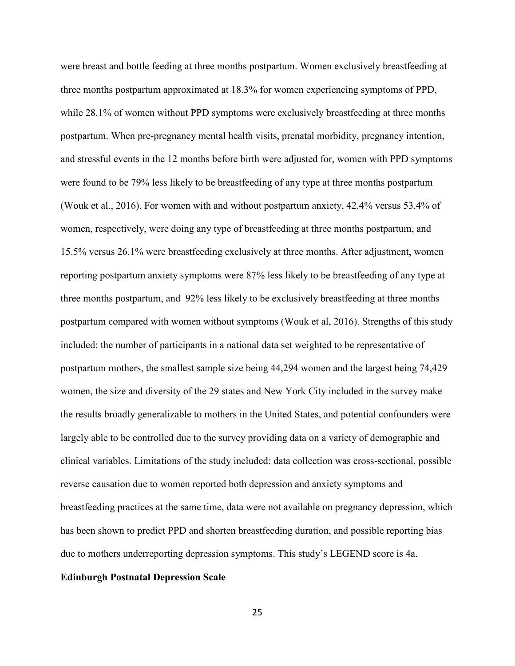were breast and bottle feeding at three months postpartum. Women exclusively breastfeeding at three months postpartum approximated at 18.3% for women experiencing symptoms of PPD, while 28.1% of women without PPD symptoms were exclusively breastfeeding at three months postpartum. When pre-pregnancy mental health visits, prenatal morbidity, pregnancy intention, and stressful events in the 12 months before birth were adjusted for, women with PPD symptoms were found to be 79% less likely to be breastfeeding of any type at three months postpartum (Wouk et al., 2016). For women with and without postpartum anxiety, 42.4% versus 53.4% of women, respectively, were doing any type of breastfeeding at three months postpartum, and 15.5% versus 26.1% were breastfeeding exclusively at three months. After adjustment, women reporting postpartum anxiety symptoms were 87% less likely to be breastfeeding of any type at three months postpartum, and 92% less likely to be exclusively breastfeeding at three months postpartum compared with women without symptoms (Wouk et al, 2016). Strengths of this study included: the number of participants in a national data set weighted to be representative of postpartum mothers, the smallest sample size being 44,294 women and the largest being 74,429 women, the size and diversity of the 29 states and New York City included in the survey make the results broadly generalizable to mothers in the United States, and potential confounders were largely able to be controlled due to the survey providing data on a variety of demographic and clinical variables. Limitations of the study included: data collection was cross-sectional, possible reverse causation due to women reported both depression and anxiety symptoms and breastfeeding practices at the same time, data were not available on pregnancy depression, which has been shown to predict PPD and shorten breastfeeding duration, and possible reporting bias due to mothers underreporting depression symptoms. This study's LEGEND score is 4a.

#### **Edinburgh Postnatal Depression Scale**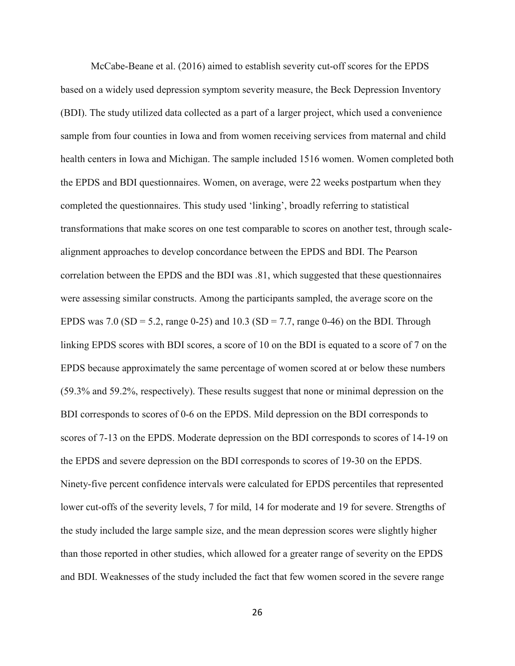McCabe-Beane et al. (2016) aimed to establish severity cut-off scores for the EPDS based on a widely used depression symptom severity measure, the Beck Depression Inventory (BDI). The study utilized data collected as a part of a larger project, which used a convenience sample from four counties in Iowa and from women receiving services from maternal and child health centers in Iowa and Michigan. The sample included 1516 women. Women completed both the EPDS and BDI questionnaires. Women, on average, were 22 weeks postpartum when they completed the questionnaires. This study used 'linking', broadly referring to statistical transformations that make scores on one test comparable to scores on another test, through scalealignment approaches to develop concordance between the EPDS and BDI. The Pearson correlation between the EPDS and the BDI was .81, which suggested that these questionnaires were assessing similar constructs. Among the participants sampled, the average score on the EPDS was 7.0 (SD = 5.2, range 0-25) and 10.3 (SD = 7.7, range 0-46) on the BDI. Through linking EPDS scores with BDI scores, a score of 10 on the BDI is equated to a score of 7 on the EPDS because approximately the same percentage of women scored at or below these numbers (59.3% and 59.2%, respectively). These results suggest that none or minimal depression on the BDI corresponds to scores of 0-6 on the EPDS. Mild depression on the BDI corresponds to scores of 7-13 on the EPDS. Moderate depression on the BDI corresponds to scores of 14-19 on the EPDS and severe depression on the BDI corresponds to scores of 19-30 on the EPDS. Ninety-five percent confidence intervals were calculated for EPDS percentiles that represented lower cut-offs of the severity levels, 7 for mild, 14 for moderate and 19 for severe. Strengths of the study included the large sample size, and the mean depression scores were slightly higher than those reported in other studies, which allowed for a greater range of severity on the EPDS and BDI. Weaknesses of the study included the fact that few women scored in the severe range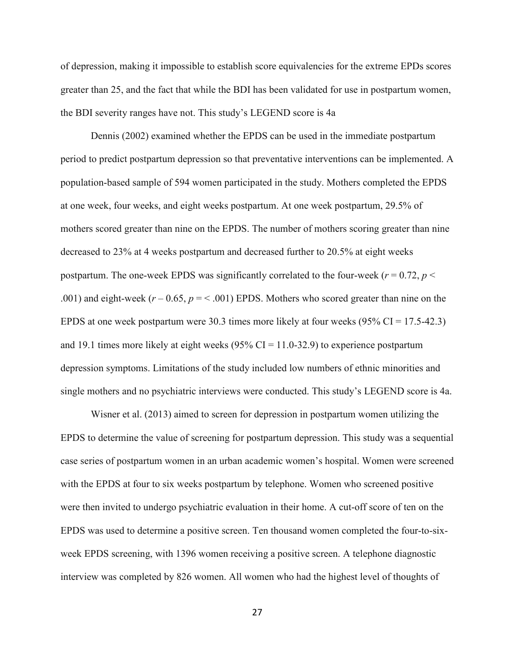of depression, making it impossible to establish score equivalencies for the extreme EPDs scores greater than 25, and the fact that while the BDI has been validated for use in postpartum women, the BDI severity ranges have not. This study's LEGEND score is 4a

Dennis (2002) examined whether the EPDS can be used in the immediate postpartum period to predict postpartum depression so that preventative interventions can be implemented. A population-based sample of 594 women participated in the study. Mothers completed the EPDS at one week, four weeks, and eight weeks postpartum. At one week postpartum, 29.5% of mothers scored greater than nine on the EPDS. The number of mothers scoring greater than nine decreased to 23% at 4 weeks postpartum and decreased further to 20.5% at eight weeks postpartum. The one-week EPDS was significantly correlated to the four-week ( $r = 0.72$ ,  $p <$ .001) and eight-week  $(r - 0.65, p = 0.61)$  EPDS. Mothers who scored greater than nine on the EPDS at one week postpartum were 30.3 times more likely at four weeks  $(95\% \text{ CI} = 17.5-42.3)$ and 19.1 times more likely at eight weeks (95% CI = 11.0-32.9) to experience postpartum depression symptoms. Limitations of the study included low numbers of ethnic minorities and single mothers and no psychiatric interviews were conducted. This study's LEGEND score is 4a.

Wisner et al. (2013) aimed to screen for depression in postpartum women utilizing the EPDS to determine the value of screening for postpartum depression. This study was a sequential case series of postpartum women in an urban academic women's hospital. Women were screened with the EPDS at four to six weeks postpartum by telephone. Women who screened positive were then invited to undergo psychiatric evaluation in their home. A cut-off score of ten on the EPDS was used to determine a positive screen. Ten thousand women completed the four-to-sixweek EPDS screening, with 1396 women receiving a positive screen. A telephone diagnostic interview was completed by 826 women. All women who had the highest level of thoughts of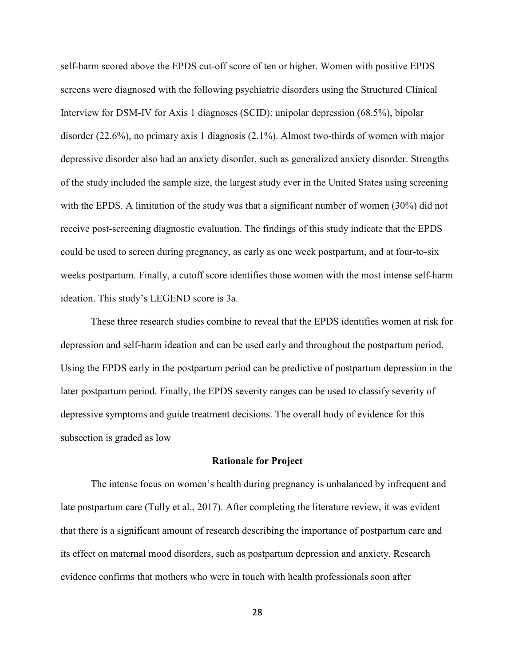self-harm scored above the EPDS cut-off score of ten or higher. Women with positive EPDS screens were diagnosed with the following psychiatric disorders using the Structured Clinical Interview for DSM-IV for Axis 1 diagnoses (SCID): unipolar depression (68.5%), bipolar disorder (22.6%), no primary axis 1 diagnosis (2.1%). Almost two-thirds of women with major depressive disorder also had an anxiety disorder, such as generalized anxiety disorder. Strengths of the study included the sample size, the largest study ever in the United States using screening with the EPDS. A limitation of the study was that a significant number of women (30%) did not receive post-screening diagnostic evaluation. The findings of this study indicate that the EPDS could be used to screen during pregnancy, as early as one week postpartum, and at four-to-six weeks postpartum. Finally, a cutoff score identifies those women with the most intense self-harm ideation. This study's LEGEND score is 3a.

These three research studies combine to reveal that the EPDS identifies women at risk for depression and self-harm ideation and can be used early and throughout the postpartum period. Using the EPDS early in the postpartum period can be predictive of postpartum depression in the later postpartum period. Finally, the EPDS severity ranges can be used to classify severity of depressive symptoms and guide treatment decisions. The overall body of evidence for this subsection is graded as low

#### **Rationale for Project**

The intense focus on women's health during pregnancy is unbalanced by infrequent and late postpartum care (Tully et al., 2017). After completing the literature review, it was evident that there is a significant amount of research describing the importance of postpartum care and its effect on maternal mood disorders, such as postpartum depression and anxiety. Research evidence confirms that mothers who were in touch with health professionals soon after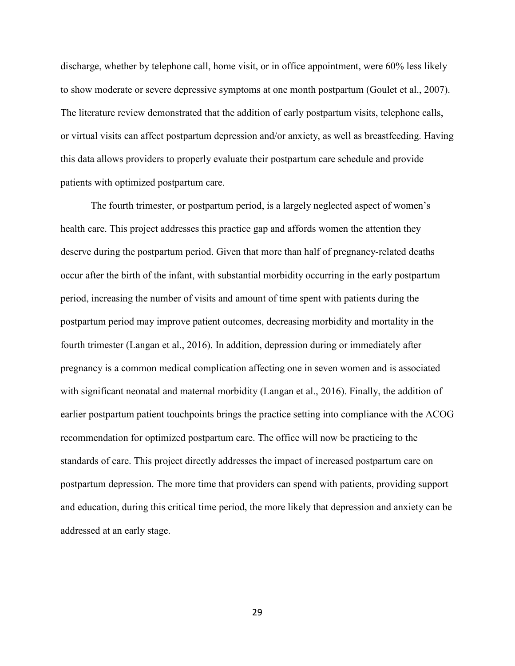discharge, whether by telephone call, home visit, or in office appointment, were 60% less likely to show moderate or severe depressive symptoms at one month postpartum (Goulet et al., 2007). The literature review demonstrated that the addition of early postpartum visits, telephone calls, or virtual visits can affect postpartum depression and/or anxiety, as well as breastfeeding. Having this data allows providers to properly evaluate their postpartum care schedule and provide patients with optimized postpartum care.

The fourth trimester, or postpartum period, is a largely neglected aspect of women's health care. This project addresses this practice gap and affords women the attention they deserve during the postpartum period. Given that more than half of pregnancy-related deaths occur after the birth of the infant, with substantial morbidity occurring in the early postpartum period, increasing the number of visits and amount of time spent with patients during the postpartum period may improve patient outcomes, decreasing morbidity and mortality in the fourth trimester (Langan et al., 2016). In addition, depression during or immediately after pregnancy is a common medical complication affecting one in seven women and is associated with significant neonatal and maternal morbidity (Langan et al., 2016). Finally, the addition of earlier postpartum patient touchpoints brings the practice setting into compliance with the ACOG recommendation for optimized postpartum care. The office will now be practicing to the standards of care. This project directly addresses the impact of increased postpartum care on postpartum depression. The more time that providers can spend with patients, providing support and education, during this critical time period, the more likely that depression and anxiety can be addressed at an early stage.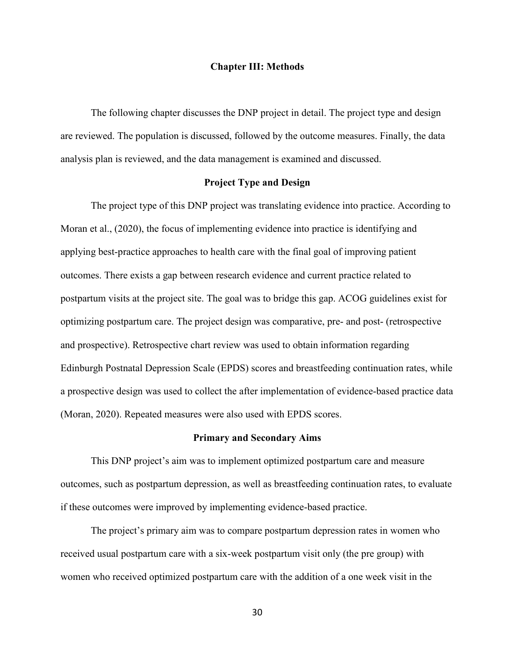#### **Chapter III: Methods**

The following chapter discusses the DNP project in detail. The project type and design are reviewed. The population is discussed, followed by the outcome measures. Finally, the data analysis plan is reviewed, and the data management is examined and discussed.

# **Project Type and Design**

The project type of this DNP project was translating evidence into practice. According to Moran et al., (2020), the focus of implementing evidence into practice is identifying and applying best-practice approaches to health care with the final goal of improving patient outcomes. There exists a gap between research evidence and current practice related to postpartum visits at the project site. The goal was to bridge this gap. ACOG guidelines exist for optimizing postpartum care. The project design was comparative, pre- and post- (retrospective and prospective). Retrospective chart review was used to obtain information regarding Edinburgh Postnatal Depression Scale (EPDS) scores and breastfeeding continuation rates, while a prospective design was used to collect the after implementation of evidence-based practice data (Moran, 2020). Repeated measures were also used with EPDS scores.

# **Primary and Secondary Aims**

This DNP project's aim was to implement optimized postpartum care and measure outcomes, such as postpartum depression, as well as breastfeeding continuation rates, to evaluate if these outcomes were improved by implementing evidence-based practice.

The project's primary aim was to compare postpartum depression rates in women who received usual postpartum care with a six-week postpartum visit only (the pre group) with women who received optimized postpartum care with the addition of a one week visit in the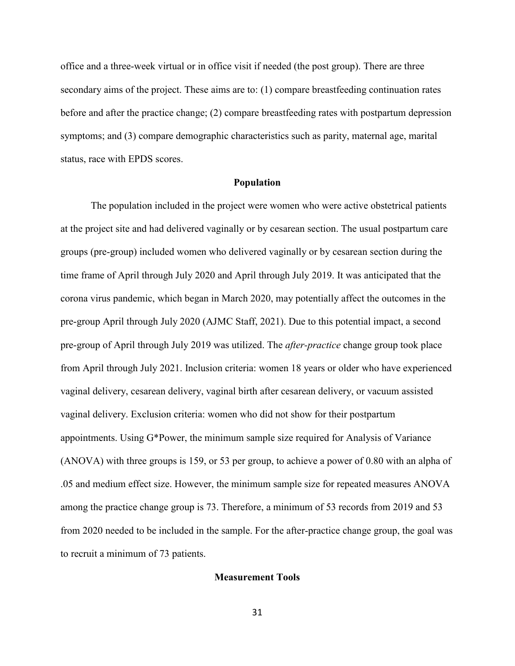office and a three-week virtual or in office visit if needed (the post group). There are three secondary aims of the project. These aims are to: (1) compare breastfeeding continuation rates before and after the practice change; (2) compare breastfeeding rates with postpartum depression symptoms; and (3) compare demographic characteristics such as parity, maternal age, marital status, race with EPDS scores.

## **Population**

The population included in the project were women who were active obstetrical patients at the project site and had delivered vaginally or by cesarean section. The usual postpartum care groups (pre-group) included women who delivered vaginally or by cesarean section during the time frame of April through July 2020 and April through July 2019. It was anticipated that the corona virus pandemic, which began in March 2020, may potentially affect the outcomes in the pre-group April through July 2020 (AJMC Staff, 2021). Due to this potential impact, a second pre-group of April through July 2019 was utilized. The *after-practice* change group took place from April through July 2021. Inclusion criteria: women 18 years or older who have experienced vaginal delivery, cesarean delivery, vaginal birth after cesarean delivery, or vacuum assisted vaginal delivery. Exclusion criteria: women who did not show for their postpartum appointments. Using G\*Power, the minimum sample size required for Analysis of Variance (ANOVA) with three groups is 159, or 53 per group, to achieve a power of 0.80 with an alpha of .05 and medium effect size. However, the minimum sample size for repeated measures ANOVA among the practice change group is 73. Therefore, a minimum of 53 records from 2019 and 53 from 2020 needed to be included in the sample. For the after-practice change group, the goal was to recruit a minimum of 73 patients.

## **Measurement Tools**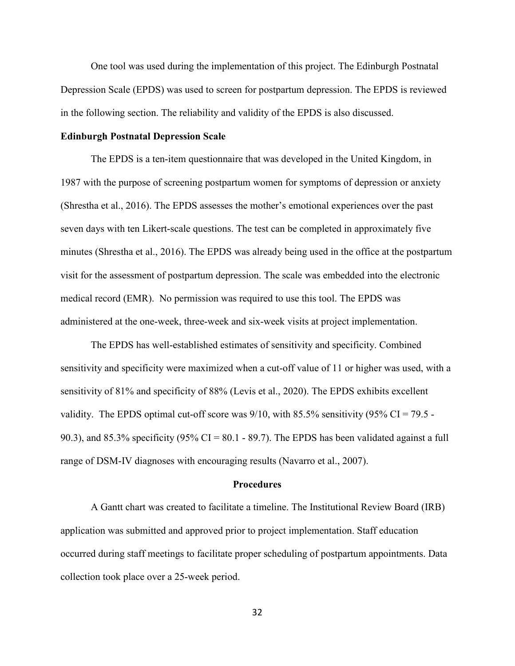One tool was used during the implementation of this project. The Edinburgh Postnatal Depression Scale (EPDS) was used to screen for postpartum depression. The EPDS is reviewed in the following section. The reliability and validity of the EPDS is also discussed.

# **Edinburgh Postnatal Depression Scale**

 The EPDS is a ten-item questionnaire that was developed in the United Kingdom, in 1987 with the purpose of screening postpartum women for symptoms of depression or anxiety (Shrestha et al., 2016). The EPDS assesses the mother's emotional experiences over the past seven days with ten Likert-scale questions. The test can be completed in approximately five minutes (Shrestha et al., 2016). The EPDS was already being used in the office at the postpartum visit for the assessment of postpartum depression. The scale was embedded into the electronic medical record (EMR). No permission was required to use this tool. The EPDS was administered at the one-week, three-week and six-week visits at project implementation.

The EPDS has well-established estimates of sensitivity and specificity. Combined sensitivity and specificity were maximized when a cut-off value of 11 or higher was used, with a sensitivity of 81% and specificity of 88% (Levis et al., 2020). The EPDS exhibits excellent validity. The EPDS optimal cut-off score was  $9/10$ , with  $85.5\%$  sensitivity (95% CI = 79.5 -90.3), and 85.3% specificity (95% CI = 80.1 - 89.7). The EPDS has been validated against a full range of DSM-IV diagnoses with encouraging results (Navarro et al., 2007).

## **Procedures**

 A Gantt chart was created to facilitate a timeline. The Institutional Review Board (IRB) application was submitted and approved prior to project implementation. Staff education occurred during staff meetings to facilitate proper scheduling of postpartum appointments. Data collection took place over a 25-week period.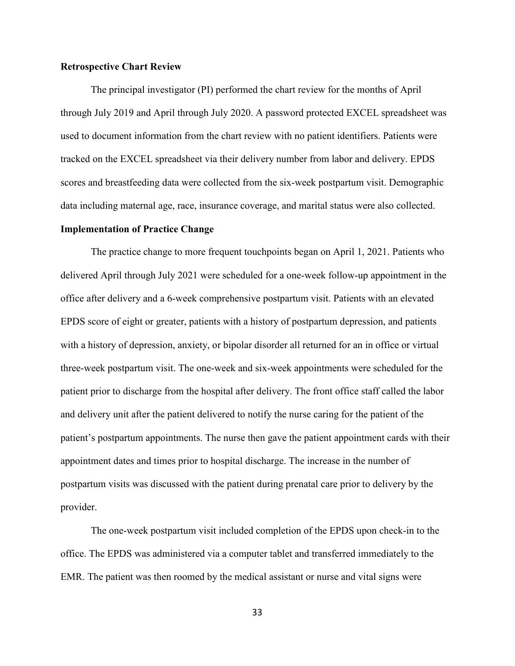# **Retrospective Chart Review**

 The principal investigator (PI) performed the chart review for the months of April through July 2019 and April through July 2020. A password protected EXCEL spreadsheet was used to document information from the chart review with no patient identifiers. Patients were tracked on the EXCEL spreadsheet via their delivery number from labor and delivery. EPDS scores and breastfeeding data were collected from the six-week postpartum visit. Demographic data including maternal age, race, insurance coverage, and marital status were also collected.

# **Implementation of Practice Change**

 The practice change to more frequent touchpoints began on April 1, 2021. Patients who delivered April through July 2021 were scheduled for a one-week follow-up appointment in the office after delivery and a 6-week comprehensive postpartum visit. Patients with an elevated EPDS score of eight or greater, patients with a history of postpartum depression, and patients with a history of depression, anxiety, or bipolar disorder all returned for an in office or virtual three-week postpartum visit. The one-week and six-week appointments were scheduled for the patient prior to discharge from the hospital after delivery. The front office staff called the labor and delivery unit after the patient delivered to notify the nurse caring for the patient of the patient's postpartum appointments. The nurse then gave the patient appointment cards with their appointment dates and times prior to hospital discharge. The increase in the number of postpartum visits was discussed with the patient during prenatal care prior to delivery by the provider.

 The one-week postpartum visit included completion of the EPDS upon check-in to the office. The EPDS was administered via a computer tablet and transferred immediately to the EMR. The patient was then roomed by the medical assistant or nurse and vital signs were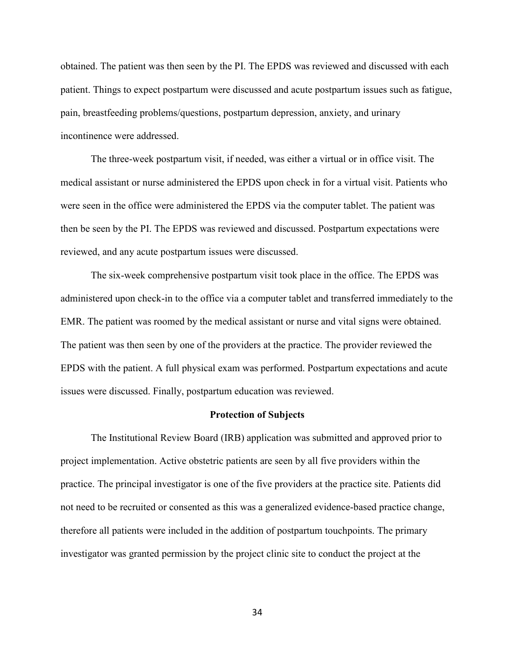obtained. The patient was then seen by the PI. The EPDS was reviewed and discussed with each patient. Things to expect postpartum were discussed and acute postpartum issues such as fatigue, pain, breastfeeding problems/questions, postpartum depression, anxiety, and urinary incontinence were addressed.

 The three-week postpartum visit, if needed, was either a virtual or in office visit. The medical assistant or nurse administered the EPDS upon check in for a virtual visit. Patients who were seen in the office were administered the EPDS via the computer tablet. The patient was then be seen by the PI. The EPDS was reviewed and discussed. Postpartum expectations were reviewed, and any acute postpartum issues were discussed.

 The six-week comprehensive postpartum visit took place in the office. The EPDS was administered upon check-in to the office via a computer tablet and transferred immediately to the EMR. The patient was roomed by the medical assistant or nurse and vital signs were obtained. The patient was then seen by one of the providers at the practice. The provider reviewed the EPDS with the patient. A full physical exam was performed. Postpartum expectations and acute issues were discussed. Finally, postpartum education was reviewed.

### **Protection of Subjects**

 The Institutional Review Board (IRB) application was submitted and approved prior to project implementation. Active obstetric patients are seen by all five providers within the practice. The principal investigator is one of the five providers at the practice site. Patients did not need to be recruited or consented as this was a generalized evidence-based practice change, therefore all patients were included in the addition of postpartum touchpoints. The primary investigator was granted permission by the project clinic site to conduct the project at the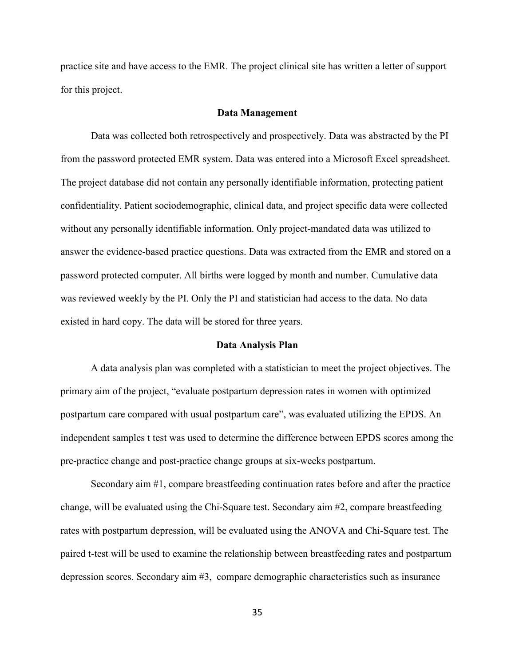practice site and have access to the EMR. The project clinical site has written a letter of support for this project.

## **Data Management**

 Data was collected both retrospectively and prospectively. Data was abstracted by the PI from the password protected EMR system. Data was entered into a Microsoft Excel spreadsheet. The project database did not contain any personally identifiable information, protecting patient confidentiality. Patient sociodemographic, clinical data, and project specific data were collected without any personally identifiable information. Only project-mandated data was utilized to answer the evidence-based practice questions. Data was extracted from the EMR and stored on a password protected computer. All births were logged by month and number. Cumulative data was reviewed weekly by the PI. Only the PI and statistician had access to the data. No data existed in hard copy. The data will be stored for three years.

#### **Data Analysis Plan**

A data analysis plan was completed with a statistician to meet the project objectives. The primary aim of the project, "evaluate postpartum depression rates in women with optimized postpartum care compared with usual postpartum care", was evaluated utilizing the EPDS. An independent samples t test was used to determine the difference between EPDS scores among the pre-practice change and post-practice change groups at six-weeks postpartum.

Secondary aim #1, compare breastfeeding continuation rates before and after the practice change, will be evaluated using the Chi-Square test. Secondary aim #2, compare breastfeeding rates with postpartum depression, will be evaluated using the ANOVA and Chi-Square test. The paired t-test will be used to examine the relationship between breastfeeding rates and postpartum depression scores. Secondary aim #3, compare demographic characteristics such as insurance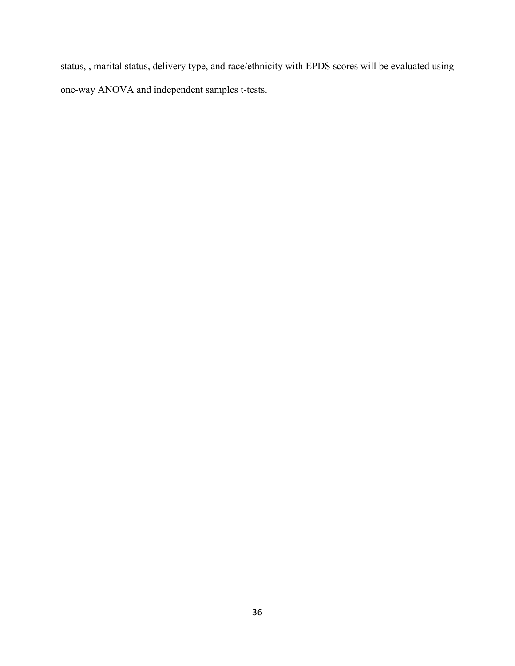status, , marital status, delivery type, and race/ethnicity with EPDS scores will be evaluated using one-way ANOVA and independent samples t-tests.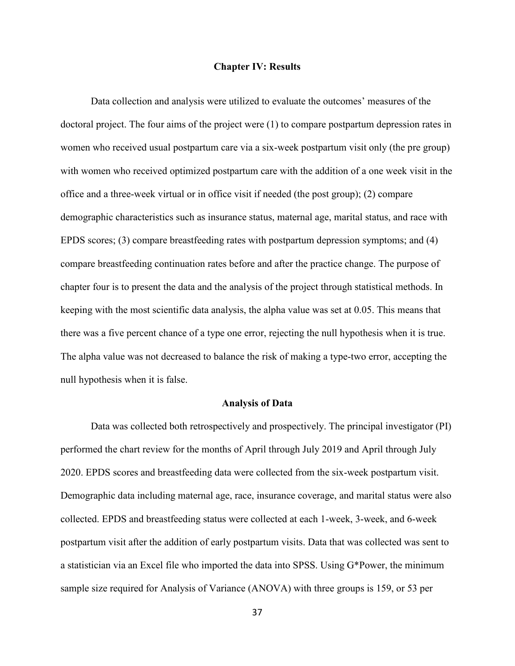#### **Chapter IV: Results**

Data collection and analysis were utilized to evaluate the outcomes' measures of the doctoral project. The four aims of the project were (1) to compare postpartum depression rates in women who received usual postpartum care via a six-week postpartum visit only (the pre group) with women who received optimized postpartum care with the addition of a one week visit in the office and a three-week virtual or in office visit if needed (the post group); (2) compare demographic characteristics such as insurance status, maternal age, marital status, and race with EPDS scores; (3) compare breastfeeding rates with postpartum depression symptoms; and (4) compare breastfeeding continuation rates before and after the practice change. The purpose of chapter four is to present the data and the analysis of the project through statistical methods. In keeping with the most scientific data analysis, the alpha value was set at 0.05. This means that there was a five percent chance of a type one error, rejecting the null hypothesis when it is true. The alpha value was not decreased to balance the risk of making a type-two error, accepting the null hypothesis when it is false.

## **Analysis of Data**

Data was collected both retrospectively and prospectively. The principal investigator (PI) performed the chart review for the months of April through July 2019 and April through July 2020. EPDS scores and breastfeeding data were collected from the six-week postpartum visit. Demographic data including maternal age, race, insurance coverage, and marital status were also collected. EPDS and breastfeeding status were collected at each 1-week, 3-week, and 6-week postpartum visit after the addition of early postpartum visits. Data that was collected was sent to a statistician via an Excel file who imported the data into SPSS. Using G\*Power, the minimum sample size required for Analysis of Variance (ANOVA) with three groups is 159, or 53 per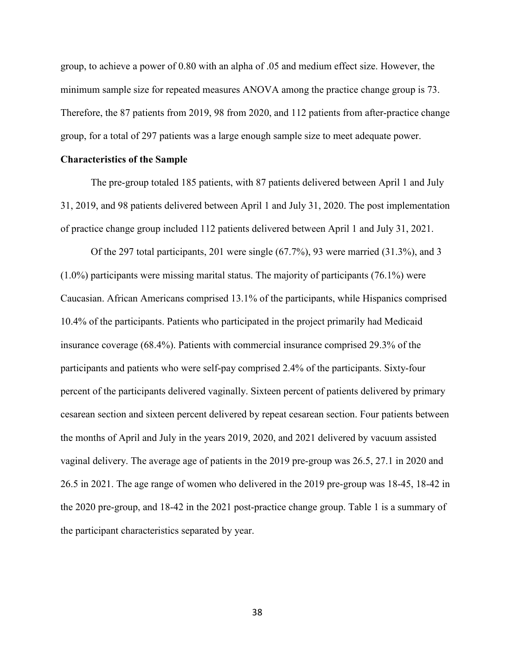group, to achieve a power of 0.80 with an alpha of .05 and medium effect size. However, the minimum sample size for repeated measures ANOVA among the practice change group is 73. Therefore, the 87 patients from 2019, 98 from 2020, and 112 patients from after-practice change group, for a total of 297 patients was a large enough sample size to meet adequate power.

## **Characteristics of the Sample**

 The pre-group totaled 185 patients, with 87 patients delivered between April 1 and July 31, 2019, and 98 patients delivered between April 1 and July 31, 2020. The post implementation of practice change group included 112 patients delivered between April 1 and July 31, 2021.

 Of the 297 total participants, 201 were single (67.7%), 93 were married (31.3%), and 3 (1.0%) participants were missing marital status. The majority of participants (76.1%) were Caucasian. African Americans comprised 13.1% of the participants, while Hispanics comprised 10.4% of the participants. Patients who participated in the project primarily had Medicaid insurance coverage (68.4%). Patients with commercial insurance comprised 29.3% of the participants and patients who were self-pay comprised 2.4% of the participants. Sixty-four percent of the participants delivered vaginally. Sixteen percent of patients delivered by primary cesarean section and sixteen percent delivered by repeat cesarean section. Four patients between the months of April and July in the years 2019, 2020, and 2021 delivered by vacuum assisted vaginal delivery. The average age of patients in the 2019 pre-group was 26.5, 27.1 in 2020 and 26.5 in 2021. The age range of women who delivered in the 2019 pre-group was 18-45, 18-42 in the 2020 pre-group, and 18-42 in the 2021 post-practice change group. Table 1 is a summary of the participant characteristics separated by year.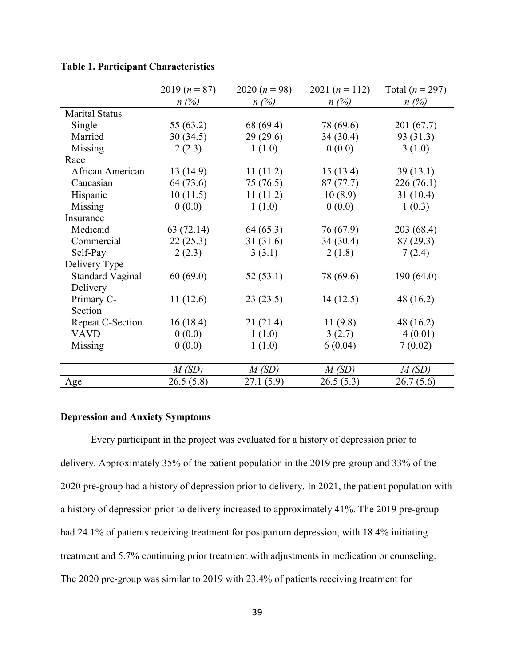|                         | 2019 $(n = 87)$ | 2020 $(n = 98)$ | 2021 $(n = 112)$ | Total ( $n = 297$ ) |
|-------------------------|-----------------|-----------------|------------------|---------------------|
|                         | $n(\%)$         | $n(\%)$         | $n(\%)$          | $n(\%)$             |
| <b>Marital Status</b>   |                 |                 |                  |                     |
| Single                  | 55 (63.2)       | 68 (69.4)       | 78 (69.6)        | 201 (67.7)          |
| Married                 | 30(34.5)        | 29(29.6)        | 34(30.4)         | 93 (31.3)           |
| Missing                 | 2(2.3)          | 1(1.0)          | 0(0.0)           | 3(1.0)              |
| Race                    |                 |                 |                  |                     |
| African American        | 13(14.9)        | 11(11.2)        | 15(13.4)         | 39(13.1)            |
| Caucasian               | 64 (73.6)       | 75 (76.5)       | 87(77.7)         | 226(76.1)           |
| Hispanic                | 10(11.5)        | 11(11.2)        | 10(8.9)          | 31(10.4)            |
| Missing                 | 0(0.0)          | 1(1.0)          | 0(0.0)           | 1(0.3)              |
| Insurance               |                 |                 |                  |                     |
| Medicaid                | 63(72.14)       | 64(65.3)        | 76 (67.9)        | 203 (68.4)          |
| Commercial              | 22(25.3)        | 31(31.6)        | 34(30.4)         | 87(29.3)            |
| Self-Pay                | 2(2.3)          | 3(3.1)          | 2(1.8)           | 7(2.4)              |
| Delivery Type           |                 |                 |                  |                     |
| <b>Standard Vaginal</b> | 60(69.0)        | 52(53.1)        | 78 (69.6)        | 190(64.0)           |
| Delivery                |                 |                 |                  |                     |
| Primary C-              | 11(12.6)        | 23(23.5)        | 14(12.5)         | 48 (16.2)           |
| Section                 |                 |                 |                  |                     |
| <b>Repeat C-Section</b> | 16(18.4)        | 21(21.4)        | 11(9.8)          | 48 (16.2)           |
| <b>VAVD</b>             | 0(0.0)          | 1(1.0)          | 3(2.7)           | 4(0.01)             |
| Missing                 | 0(0.0)          | 1(1.0)          | 6(0.04)          | 7(0.02)             |
|                         |                 |                 |                  |                     |
|                         | M(SD)           | M(SD)           | M(SD)            | M(SD)               |
| Age                     | 26.5(5.8)       | 27.1(5.9)       | 26.5(5.3)        | 26.7(5.6)           |

# **Table 1. Participant Characteristics**

# **Depression and Anxiety Symptoms**

 Every participant in the project was evaluated for a history of depression prior to delivery. Approximately 35% of the patient population in the 2019 pre-group and 33% of the 2020 pre-group had a history of depression prior to delivery. In 2021, the patient population with a history of depression prior to delivery increased to approximately 41%. The 2019 pre-group had 24.1% of patients receiving treatment for postpartum depression, with 18.4% initiating treatment and 5.7% continuing prior treatment with adjustments in medication or counseling. The 2020 pre-group was similar to 2019 with 23.4% of patients receiving treatment for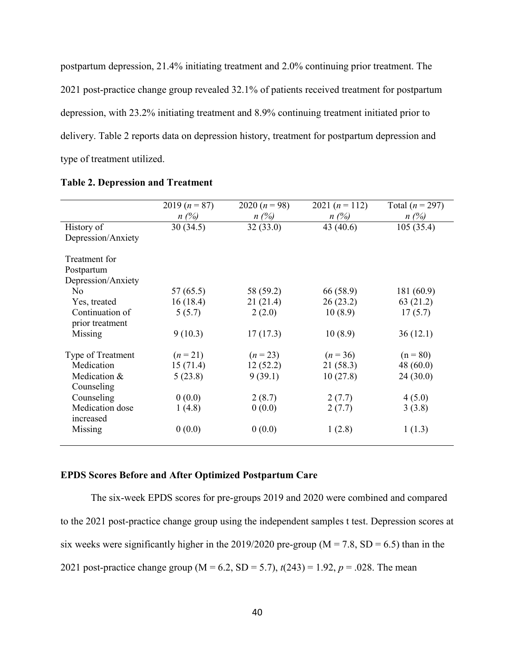postpartum depression, 21.4% initiating treatment and 2.0% continuing prior treatment. The 2021 post-practice change group revealed 32.1% of patients received treatment for postpartum depression, with 23.2% initiating treatment and 8.9% continuing treatment initiated prior to delivery. Table 2 reports data on depression history, treatment for postpartum depression and type of treatment utilized.

|                    | 2019 $(n = 87)$ | 2020 $(n = 98)$ | 2021 $(n = 112)$ | Total $(n = 297)$ |
|--------------------|-----------------|-----------------|------------------|-------------------|
|                    | $n(\%)$         | $n(\%)$         | $n(\%)$          | $n(\%)$           |
| History of         | 30(34.5)        | 32(33.0)        | 43 (40.6)        | 105(35.4)         |
| Depression/Anxiety |                 |                 |                  |                   |
| Treatment for      |                 |                 |                  |                   |
| Postpartum         |                 |                 |                  |                   |
| Depression/Anxiety |                 |                 |                  |                   |
| No.                | 57(65.5)        | 58 (59.2)       | 66 (58.9)        | 181 (60.9)        |
| Yes, treated       | 16(18.4)        | 21(21.4)        | 26(23.2)         | 63 (21.2)         |
| Continuation of    | 5(5.7)          | 2(2.0)          | 10(8.9)          | 17(5.7)           |
| prior treatment    |                 |                 |                  |                   |
| Missing            | 9(10.3)         | 17(17.3)        | 10(8.9)          | 36(12.1)          |
| Type of Treatment  | $(n=21)$        | $(n = 23)$      | $(n = 36)$       | $(n = 80)$        |
| Medication         | 15(71.4)        | 12(52.2)        | 21(58.3)         | 48(60.0)          |
| Medication &       | 5(23.8)         | 9(39.1)         | 10(27.8)         | 24(30.0)          |
| Counseling         |                 |                 |                  |                   |
| Counseling         | 0(0.0)          | 2(8.7)          | 2(7.7)           | 4(5.0)            |
| Medication dose    | 1(4.8)          | 0(0.0)          | 2(7.7)           | 3(3.8)            |
| increased          |                 |                 |                  |                   |
| Missing            | 0(0.0)          | 0(0.0)          | 1(2.8)           | 1(1.3)            |
|                    |                 |                 |                  |                   |

#### **Table 2. Depression and Treatment**

# **EPDS Scores Before and After Optimized Postpartum Care**

 The six-week EPDS scores for pre-groups 2019 and 2020 were combined and compared to the 2021 post-practice change group using the independent samples t test. Depression scores at six weeks were significantly higher in the 2019/2020 pre-group ( $M = 7.8$ , SD = 6.5) than in the 2021 post-practice change group (M = 6.2, SD = 5.7), *t*(243) = 1.92, *p* = .028. The mean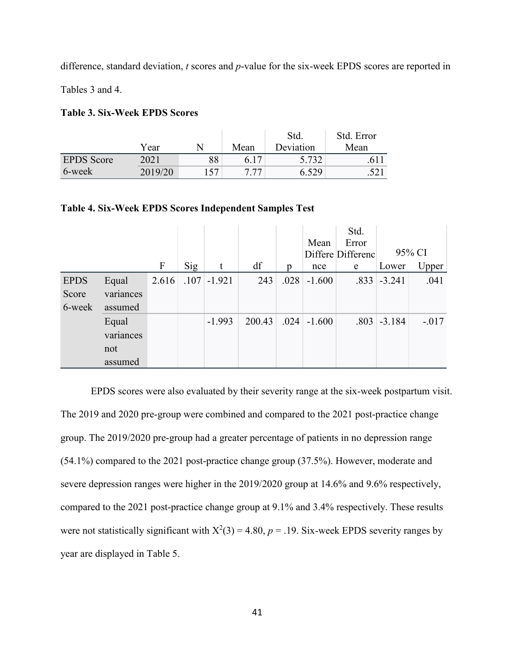difference, standard deviation, *t* scores and *p*-value for the six-week EPDS scores are reported in

Tables 3 and 4.

# **Table 3. Six-Week EPDS Scores**

|                   |         |     |      | Std.      | Std. Error |
|-------------------|---------|-----|------|-----------|------------|
|                   | Year    |     | Mean | Deviation | Mean       |
| <b>EPDS</b> Score | 2021    | 88  |      | 5.732     | 611        |
| 6-week            | 2019/20 | 157 | 777  | 6.529     | .521       |

# **Table 4. Six-Week EPDS Scores Independent Samples Test**

|             |           |                           |     |               |        |      |          | Std.              |                  |         |
|-------------|-----------|---------------------------|-----|---------------|--------|------|----------|-------------------|------------------|---------|
|             |           |                           |     |               |        |      | Mean     | Error             |                  |         |
|             |           |                           |     |               |        |      |          | Differe Differenc |                  | 95% CI  |
|             |           | $\boldsymbol{\mathrm{F}}$ | Sig | t             | df     | p    | nce      | e                 | Lower            | Upper   |
| <b>EPDS</b> | Equal     | 2.616                     |     | $.107$ -1.921 | 243    | .028 | $-1.600$ |                   | $.833$ $-.3.241$ | .041    |
| Score       | variances |                           |     |               |        |      |          |                   |                  |         |
| 6-week      | assumed   |                           |     |               |        |      |          |                   |                  |         |
|             | Equal     |                           |     | $-1.993$      | 200.43 | .024 | $-1.600$ |                   | $.803$ -3.184    | $-.017$ |
|             | variances |                           |     |               |        |      |          |                   |                  |         |
|             | not       |                           |     |               |        |      |          |                   |                  |         |
|             | assumed   |                           |     |               |        |      |          |                   |                  |         |

 EPDS scores were also evaluated by their severity range at the six-week postpartum visit. The 2019 and 2020 pre-group were combined and compared to the 2021 post-practice change group. The 2019/2020 pre-group had a greater percentage of patients in no depression range (54.1%) compared to the 2021 post-practice change group (37.5%). However, moderate and severe depression ranges were higher in the 2019/2020 group at 14.6% and 9.6% respectively, compared to the 2021 post-practice change group at 9.1% and 3.4% respectively. These results were not statistically significant with  $X^2(3) = 4.80$ ,  $p = .19$ . Six-week EPDS severity ranges by year are displayed in Table 5.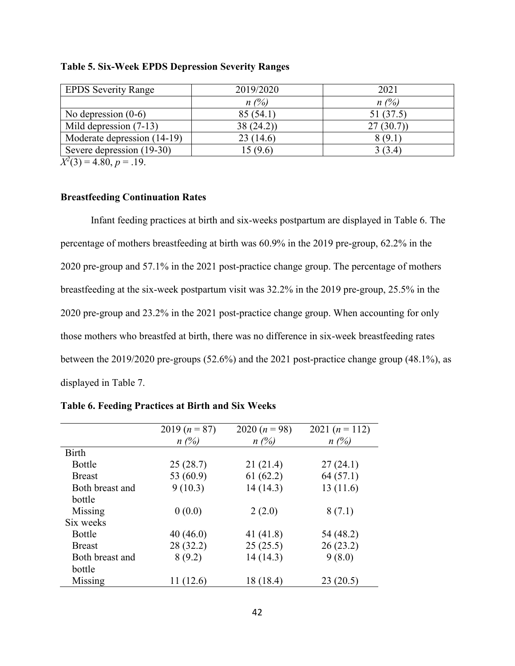| <b>EPDS Severity Range</b>                                                    | 2019/2020 | 2021     |
|-------------------------------------------------------------------------------|-----------|----------|
|                                                                               | $n(\%)$   | $n(\%)$  |
| No depression $(0-6)$                                                         | 85(54.1)  | 51(37.5) |
| Mild depression (7-13)                                                        | 38(24.2)  | 27(30.7) |
| Moderate depression (14-19)                                                   | 23(14.6)  | 8(9.1)   |
| Severe depression (19-30)                                                     | 15(9.6)   | 3(3.4)   |
| $\mathbf{r}^2/\mathbf{a}$ $\mathbf{a}$ $\mathbf{a}$ $\mathbf{a}$ $\mathbf{a}$ |           |          |

# **Table 5. Six-Week EPDS Depression Severity Ranges**

 $X^2(3) = 4.80, p = .19.$ 

# **Breastfeeding Continuation Rates**

 Infant feeding practices at birth and six-weeks postpartum are displayed in Table 6. The percentage of mothers breastfeeding at birth was 60.9% in the 2019 pre-group, 62.2% in the 2020 pre-group and 57.1% in the 2021 post-practice change group. The percentage of mothers breastfeeding at the six-week postpartum visit was 32.2% in the 2019 pre-group, 25.5% in the 2020 pre-group and 23.2% in the 2021 post-practice change group. When accounting for only those mothers who breastfed at birth, there was no difference in six-week breastfeeding rates between the 2019/2020 pre-groups (52.6%) and the 2021 post-practice change group (48.1%), as displayed in Table 7.

|                 | 2019 $(n = 87)$ | 2020 $(n = 98)$ | 2021 $(n = 112)$ |
|-----------------|-----------------|-----------------|------------------|
|                 | $n(\%)$         | $n(\%)$         | $n(\%)$          |
| <b>Birth</b>    |                 |                 |                  |
| <b>Bottle</b>   | 25(28.7)        | 21(21.4)        | 27(24.1)         |
| <b>Breast</b>   | 53 (60.9)       | 61(62.2)        | 64(57.1)         |
| Both breast and | 9(10.3)         | 14(14.3)        | 13(11.6)         |
| bottle          |                 |                 |                  |
| Missing         | 0(0.0)          | 2(2.0)          | 8(7.1)           |
| Six weeks       |                 |                 |                  |
| <b>Bottle</b>   | 40(46.0)        | 41 (41.8)       | 54 (48.2)        |
| <b>Breast</b>   | 28 (32.2)       | 25(25.5)        | 26(23.2)         |
| Both breast and | 8(9.2)          | 14(14.3)        | 9(8.0)           |
| bottle          |                 |                 |                  |
| Missing         | 11(12.6)        | 18 (18.4)       | 23(20.5)         |

**Table 6. Feeding Practices at Birth and Six Weeks**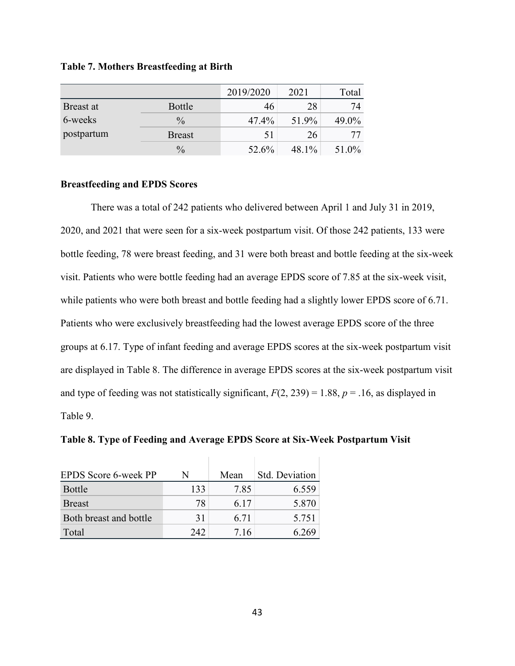| <b>Table 7. Mothers Breastfeeding at Birth</b> |  |  |
|------------------------------------------------|--|--|
|------------------------------------------------|--|--|

|            |               | 2019/2020 | 2021  | Total |
|------------|---------------|-----------|-------|-------|
| Breast at  | <b>Bottle</b> | 46        | 28    | 74    |
| 6-weeks    | $\frac{0}{0}$ | 47.4%     | 51.9% | 49.0% |
| postpartum | <b>Breast</b> | 51        | 26    | 77    |
|            | $\frac{0}{0}$ | 52.6%     | 48.1% | 51.0% |

# **Breastfeeding and EPDS Scores**

 There was a total of 242 patients who delivered between April 1 and July 31 in 2019, 2020, and 2021 that were seen for a six-week postpartum visit. Of those 242 patients, 133 were bottle feeding, 78 were breast feeding, and 31 were both breast and bottle feeding at the six-week visit. Patients who were bottle feeding had an average EPDS score of 7.85 at the six-week visit, while patients who were both breast and bottle feeding had a slightly lower EPDS score of 6.71. Patients who were exclusively breastfeeding had the lowest average EPDS score of the three groups at 6.17. Type of infant feeding and average EPDS scores at the six-week postpartum visit are displayed in Table 8. The difference in average EPDS scores at the six-week postpartum visit and type of feeding was not statistically significant,  $F(2, 239) = 1.88$ ,  $p = .16$ , as displayed in Table 9.

**Table 8. Type of Feeding and Average EPDS Score at Six-Week Postpartum Visit** 

| EPDS Score 6-week PP   | N   | Mean | Std. Deviation |
|------------------------|-----|------|----------------|
| <b>Bottle</b>          | 133 | 7.85 | 6.559          |
| <b>Breast</b>          | 78  | 6 17 | 5.870          |
| Both breast and bottle | 31  | 6.71 | 5 7 5 1        |
| Total                  | 242 | 716  | 6 769          |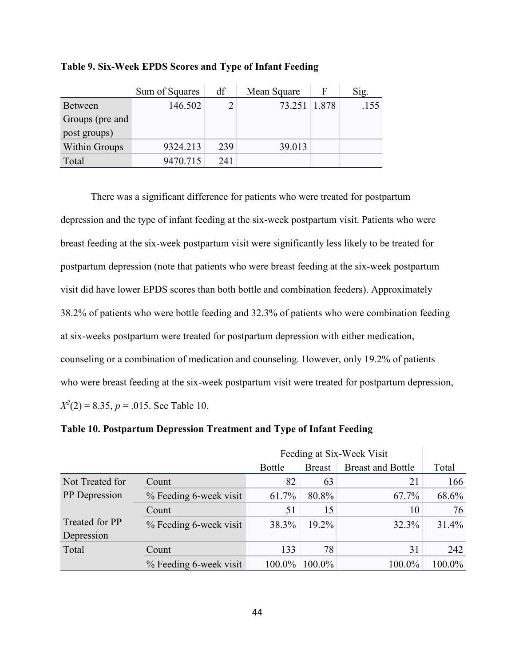|                 | Sum of Squares | df  | Mean Square  | F | Sig. |
|-----------------|----------------|-----|--------------|---|------|
| <b>Between</b>  | 146.502        |     | 73.251 1.878 |   | .155 |
| Groups (pre and |                |     |              |   |      |
| post groups)    |                |     |              |   |      |
| Within Groups   | 9324.213       | 239 | 39.013       |   |      |
| Total           | 9470.715       | 241 |              |   |      |

**Table 9. Six-Week EPDS Scores and Type of Infant Feeding** 

 There was a significant difference for patients who were treated for postpartum depression and the type of infant feeding at the six-week postpartum visit. Patients who were breast feeding at the six-week postpartum visit were significantly less likely to be treated for postpartum depression (note that patients who were breast feeding at the six-week postpartum visit did have lower EPDS scores than both bottle and combination feeders). Approximately 38.2% of patients who were bottle feeding and 32.3% of patients who were combination feeding at six-weeks postpartum were treated for postpartum depression with either medication, counseling or a combination of medication and counseling. However, only 19.2% of patients who were breast feeding at the six-week postpartum visit were treated for postpartum depression,  $X^2(2) = 8.35, p = .015$ . See Table 10.

**Table 10. Postpartum Depression Treatment and Type of Infant Feeding** 

|                 | Feeding at Six-Week Visit |               |               |                          |        |
|-----------------|---------------------------|---------------|---------------|--------------------------|--------|
|                 |                           | <b>Bottle</b> | <b>Breast</b> | <b>Breast and Bottle</b> | Total  |
| Not Treated for | Count                     | 82            | 63            | 21                       | 166    |
| PP Depression   | % Feeding 6-week visit    | 61.7%         | 80.8%         | 67.7%                    | 68.6%  |
|                 | Count                     | 51            | 15            | 10                       | 76     |
| Treated for PP  | % Feeding 6-week visit    | 38.3%         | 19.2%         | 32.3%                    | 31.4%  |
| Depression      |                           |               |               |                          |        |
| Total           | Count                     | 133           | 78            | 31                       | 242    |
|                 | % Feeding 6-week visit    | 100.0%        | 100.0%        | 100.0%                   | 100.0% |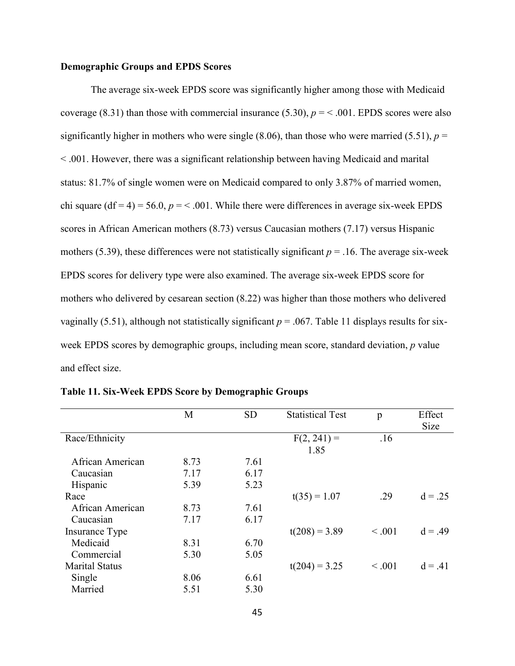## **Demographic Groups and EPDS Scores**

The average six-week EPDS score was significantly higher among those with Medicaid coverage (8.31) than those with commercial insurance (5.30),  $p = < .001$ . EPDS scores were also significantly higher in mothers who were single (8.06), than those who were married (5.51),  $p =$ < .001. However, there was a significant relationship between having Medicaid and marital status: 81.7% of single women were on Medicaid compared to only 3.87% of married women, chi square  $(df = 4) = 56.0$ ,  $p = < .001$ . While there were differences in average six-week EPDS scores in African American mothers (8.73) versus Caucasian mothers (7.17) versus Hispanic mothers (5.39), these differences were not statistically significant  $p = 0.16$ . The average six-week EPDS scores for delivery type were also examined. The average six-week EPDS score for mothers who delivered by cesarean section (8.22) was higher than those mothers who delivered vaginally (5.51), although not statistically significant  $p = 0.067$ . Table 11 displays results for sixweek EPDS scores by demographic groups, including mean score, standard deviation, *p* value and effect size.

|                       | M    | <b>SD</b> | <b>Statistical Test</b> | p           | Effect      |
|-----------------------|------|-----------|-------------------------|-------------|-------------|
|                       |      |           |                         |             | <b>Size</b> |
| Race/Ethnicity        |      |           | $F(2, 241) =$           | .16         |             |
|                       |      |           | 1.85                    |             |             |
| African American      | 8.73 | 7.61      |                         |             |             |
| Caucasian             | 7.17 | 6.17      |                         |             |             |
| Hispanic              | 5.39 | 5.23      |                         |             |             |
| Race                  |      |           | $t(35) = 1.07$          | .29         | $d = .25$   |
| African American      | 8.73 | 7.61      |                         |             |             |
| Caucasian             | 7.17 | 6.17      |                         |             |             |
| Insurance Type        |      |           | $t(208) = 3.89$         | $\leq .001$ | $d = .49$   |
| Medicaid              | 8.31 | 6.70      |                         |             |             |
| Commercial            | 5.30 | 5.05      |                         |             |             |
| <b>Marital Status</b> |      |           | $t(204) = 3.25$         | $\leq .001$ | $d = .41$   |
| Single                | 8.06 | 6.61      |                         |             |             |
| Married               | 5.51 | 5.30      |                         |             |             |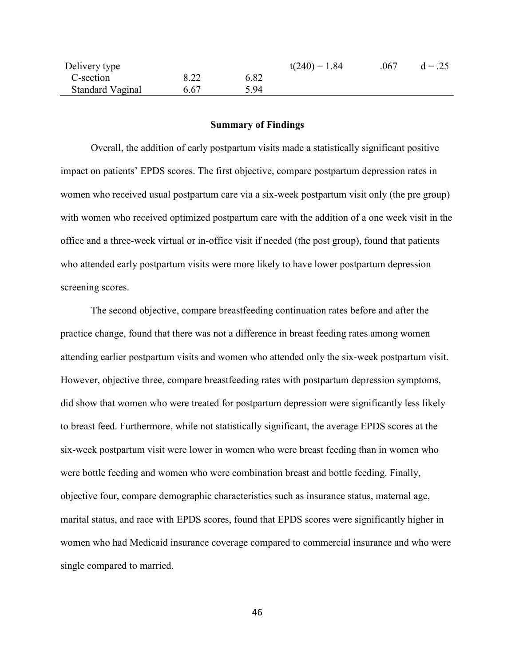| Delivery type           |      |      | $t(240) = 1.84$ | .067 | $d = .25$ |
|-------------------------|------|------|-----------------|------|-----------|
| C-section               | 8.22 | 6.82 |                 |      |           |
| <b>Standard Vaginal</b> | 6.67 | 5.94 |                 |      |           |

# **Summary of Findings**

Overall, the addition of early postpartum visits made a statistically significant positive impact on patients' EPDS scores. The first objective, compare postpartum depression rates in women who received usual postpartum care via a six-week postpartum visit only (the pre group) with women who received optimized postpartum care with the addition of a one week visit in the office and a three-week virtual or in-office visit if needed (the post group), found that patients who attended early postpartum visits were more likely to have lower postpartum depression screening scores.

The second objective, compare breastfeeding continuation rates before and after the practice change, found that there was not a difference in breast feeding rates among women attending earlier postpartum visits and women who attended only the six-week postpartum visit. However, objective three, compare breastfeeding rates with postpartum depression symptoms, did show that women who were treated for postpartum depression were significantly less likely to breast feed. Furthermore, while not statistically significant, the average EPDS scores at the six-week postpartum visit were lower in women who were breast feeding than in women who were bottle feeding and women who were combination breast and bottle feeding. Finally, objective four, compare demographic characteristics such as insurance status, maternal age, marital status, and race with EPDS scores, found that EPDS scores were significantly higher in women who had Medicaid insurance coverage compared to commercial insurance and who were single compared to married.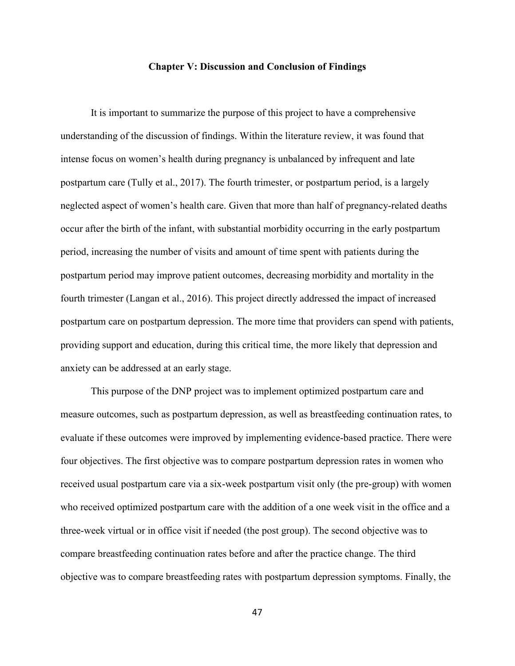## **Chapter V: Discussion and Conclusion of Findings**

It is important to summarize the purpose of this project to have a comprehensive understanding of the discussion of findings. Within the literature review, it was found that intense focus on women's health during pregnancy is unbalanced by infrequent and late postpartum care (Tully et al., 2017). The fourth trimester, or postpartum period, is a largely neglected aspect of women's health care. Given that more than half of pregnancy-related deaths occur after the birth of the infant, with substantial morbidity occurring in the early postpartum period, increasing the number of visits and amount of time spent with patients during the postpartum period may improve patient outcomes, decreasing morbidity and mortality in the fourth trimester (Langan et al., 2016). This project directly addressed the impact of increased postpartum care on postpartum depression. The more time that providers can spend with patients, providing support and education, during this critical time, the more likely that depression and anxiety can be addressed at an early stage.

This purpose of the DNP project was to implement optimized postpartum care and measure outcomes, such as postpartum depression, as well as breastfeeding continuation rates, to evaluate if these outcomes were improved by implementing evidence-based practice. There were four objectives. The first objective was to compare postpartum depression rates in women who received usual postpartum care via a six-week postpartum visit only (the pre-group) with women who received optimized postpartum care with the addition of a one week visit in the office and a three-week virtual or in office visit if needed (the post group). The second objective was to compare breastfeeding continuation rates before and after the practice change. The third objective was to compare breastfeeding rates with postpartum depression symptoms. Finally, the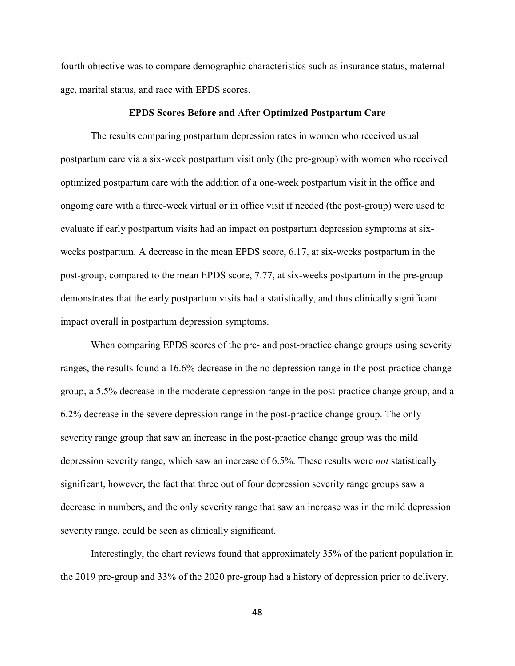fourth objective was to compare demographic characteristics such as insurance status, maternal age, marital status, and race with EPDS scores.

## **EPDS Scores Before and After Optimized Postpartum Care**

The results comparing postpartum depression rates in women who received usual postpartum care via a six-week postpartum visit only (the pre-group) with women who received optimized postpartum care with the addition of a one-week postpartum visit in the office and ongoing care with a three-week virtual or in office visit if needed (the post-group) were used to evaluate if early postpartum visits had an impact on postpartum depression symptoms at sixweeks postpartum. A decrease in the mean EPDS score, 6.17, at six-weeks postpartum in the post-group, compared to the mean EPDS score, 7.77, at six-weeks postpartum in the pre-group demonstrates that the early postpartum visits had a statistically, and thus clinically significant impact overall in postpartum depression symptoms.

 When comparing EPDS scores of the pre- and post-practice change groups using severity ranges, the results found a 16.6% decrease in the no depression range in the post-practice change group, a 5.5% decrease in the moderate depression range in the post-practice change group, and a 6.2% decrease in the severe depression range in the post-practice change group. The only severity range group that saw an increase in the post-practice change group was the mild depression severity range, which saw an increase of 6.5%. These results were *not* statistically significant, however, the fact that three out of four depression severity range groups saw a decrease in numbers, and the only severity range that saw an increase was in the mild depression severity range, could be seen as clinically significant.

 Interestingly, the chart reviews found that approximately 35% of the patient population in the 2019 pre-group and 33% of the 2020 pre-group had a history of depression prior to delivery.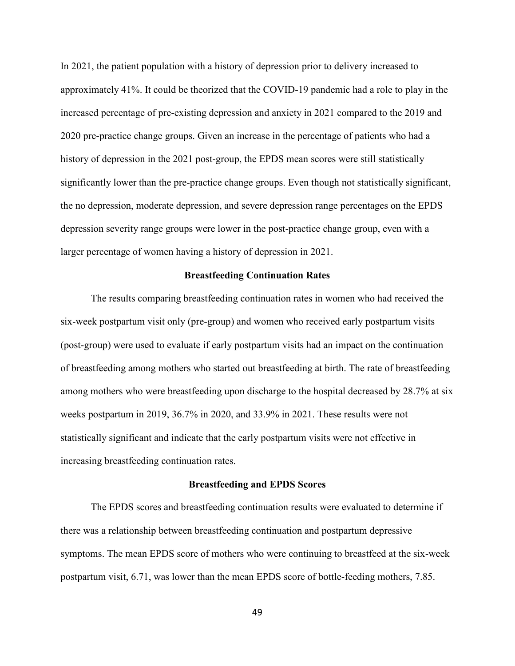In 2021, the patient population with a history of depression prior to delivery increased to approximately 41%. It could be theorized that the COVID-19 pandemic had a role to play in the increased percentage of pre-existing depression and anxiety in 2021 compared to the 2019 and 2020 pre-practice change groups. Given an increase in the percentage of patients who had a history of depression in the 2021 post-group, the EPDS mean scores were still statistically significantly lower than the pre-practice change groups. Even though not statistically significant, the no depression, moderate depression, and severe depression range percentages on the EPDS depression severity range groups were lower in the post-practice change group, even with a larger percentage of women having a history of depression in 2021.

# **Breastfeeding Continuation Rates**

The results comparing breastfeeding continuation rates in women who had received the six-week postpartum visit only (pre-group) and women who received early postpartum visits (post-group) were used to evaluate if early postpartum visits had an impact on the continuation of breastfeeding among mothers who started out breastfeeding at birth. The rate of breastfeeding among mothers who were breastfeeding upon discharge to the hospital decreased by 28.7% at six weeks postpartum in 2019, 36.7% in 2020, and 33.9% in 2021. These results were not statistically significant and indicate that the early postpartum visits were not effective in increasing breastfeeding continuation rates.

#### **Breastfeeding and EPDS Scores**

The EPDS scores and breastfeeding continuation results were evaluated to determine if there was a relationship between breastfeeding continuation and postpartum depressive symptoms. The mean EPDS score of mothers who were continuing to breastfeed at the six-week postpartum visit, 6.71, was lower than the mean EPDS score of bottle-feeding mothers, 7.85.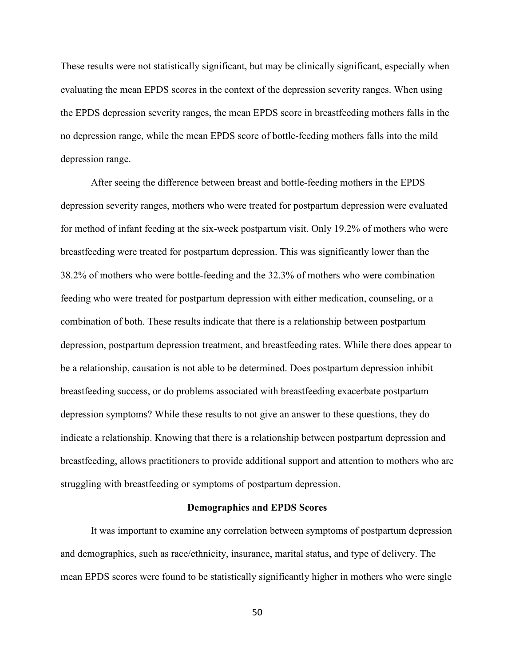These results were not statistically significant, but may be clinically significant, especially when evaluating the mean EPDS scores in the context of the depression severity ranges. When using the EPDS depression severity ranges, the mean EPDS score in breastfeeding mothers falls in the no depression range, while the mean EPDS score of bottle-feeding mothers falls into the mild depression range.

After seeing the difference between breast and bottle-feeding mothers in the EPDS depression severity ranges, mothers who were treated for postpartum depression were evaluated for method of infant feeding at the six-week postpartum visit. Only 19.2% of mothers who were breastfeeding were treated for postpartum depression. This was significantly lower than the 38.2% of mothers who were bottle-feeding and the 32.3% of mothers who were combination feeding who were treated for postpartum depression with either medication, counseling, or a combination of both. These results indicate that there is a relationship between postpartum depression, postpartum depression treatment, and breastfeeding rates. While there does appear to be a relationship, causation is not able to be determined. Does postpartum depression inhibit breastfeeding success, or do problems associated with breastfeeding exacerbate postpartum depression symptoms? While these results to not give an answer to these questions, they do indicate a relationship. Knowing that there is a relationship between postpartum depression and breastfeeding, allows practitioners to provide additional support and attention to mothers who are struggling with breastfeeding or symptoms of postpartum depression.

### **Demographics and EPDS Scores**

It was important to examine any correlation between symptoms of postpartum depression and demographics, such as race/ethnicity, insurance, marital status, and type of delivery. The mean EPDS scores were found to be statistically significantly higher in mothers who were single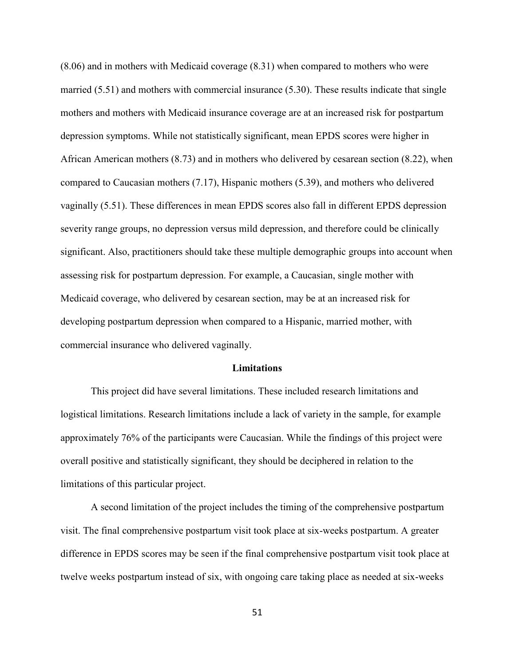(8.06) and in mothers with Medicaid coverage (8.31) when compared to mothers who were married (5.51) and mothers with commercial insurance (5.30). These results indicate that single mothers and mothers with Medicaid insurance coverage are at an increased risk for postpartum depression symptoms. While not statistically significant, mean EPDS scores were higher in African American mothers (8.73) and in mothers who delivered by cesarean section (8.22), when compared to Caucasian mothers (7.17), Hispanic mothers (5.39), and mothers who delivered vaginally (5.51). These differences in mean EPDS scores also fall in different EPDS depression severity range groups, no depression versus mild depression, and therefore could be clinically significant. Also, practitioners should take these multiple demographic groups into account when assessing risk for postpartum depression. For example, a Caucasian, single mother with Medicaid coverage, who delivered by cesarean section, may be at an increased risk for developing postpartum depression when compared to a Hispanic, married mother, with commercial insurance who delivered vaginally.

#### **Limitations**

This project did have several limitations. These included research limitations and logistical limitations. Research limitations include a lack of variety in the sample, for example approximately 76% of the participants were Caucasian. While the findings of this project were overall positive and statistically significant, they should be deciphered in relation to the limitations of this particular project.

 A second limitation of the project includes the timing of the comprehensive postpartum visit. The final comprehensive postpartum visit took place at six-weeks postpartum. A greater difference in EPDS scores may be seen if the final comprehensive postpartum visit took place at twelve weeks postpartum instead of six, with ongoing care taking place as needed at six-weeks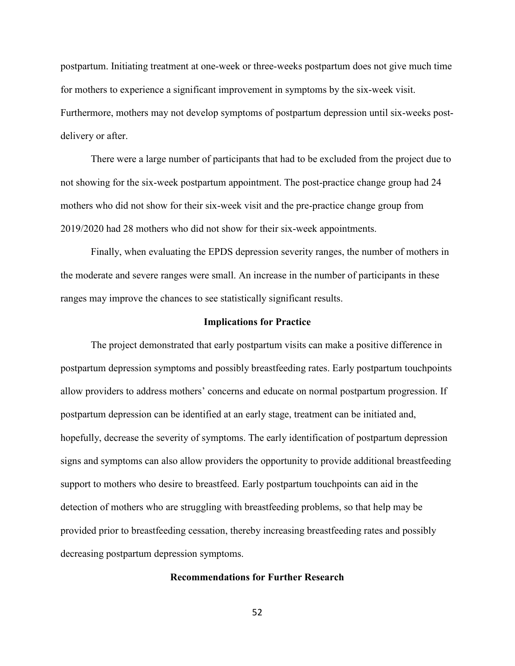postpartum. Initiating treatment at one-week or three-weeks postpartum does not give much time for mothers to experience a significant improvement in symptoms by the six-week visit. Furthermore, mothers may not develop symptoms of postpartum depression until six-weeks postdelivery or after.

 There were a large number of participants that had to be excluded from the project due to not showing for the six-week postpartum appointment. The post-practice change group had 24 mothers who did not show for their six-week visit and the pre-practice change group from 2019/2020 had 28 mothers who did not show for their six-week appointments.

 Finally, when evaluating the EPDS depression severity ranges, the number of mothers in the moderate and severe ranges were small. An increase in the number of participants in these ranges may improve the chances to see statistically significant results.

## **Implications for Practice**

The project demonstrated that early postpartum visits can make a positive difference in postpartum depression symptoms and possibly breastfeeding rates. Early postpartum touchpoints allow providers to address mothers' concerns and educate on normal postpartum progression. If postpartum depression can be identified at an early stage, treatment can be initiated and, hopefully, decrease the severity of symptoms. The early identification of postpartum depression signs and symptoms can also allow providers the opportunity to provide additional breastfeeding support to mothers who desire to breastfeed. Early postpartum touchpoints can aid in the detection of mothers who are struggling with breastfeeding problems, so that help may be provided prior to breastfeeding cessation, thereby increasing breastfeeding rates and possibly decreasing postpartum depression symptoms.

## **Recommendations for Further Research**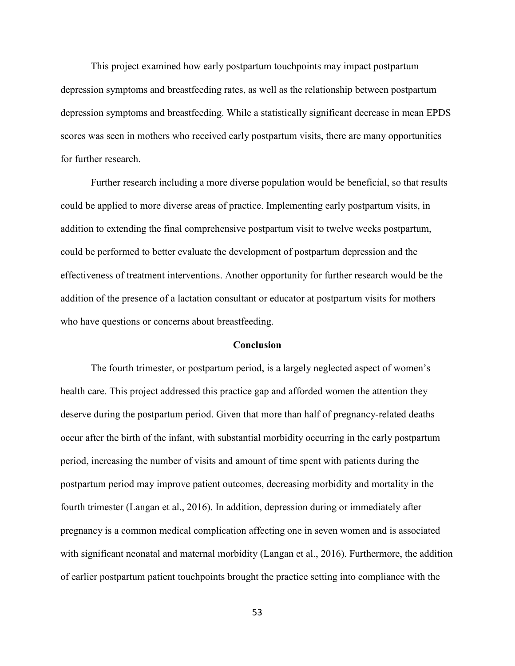This project examined how early postpartum touchpoints may impact postpartum depression symptoms and breastfeeding rates, as well as the relationship between postpartum depression symptoms and breastfeeding. While a statistically significant decrease in mean EPDS scores was seen in mothers who received early postpartum visits, there are many opportunities for further research.

 Further research including a more diverse population would be beneficial, so that results could be applied to more diverse areas of practice. Implementing early postpartum visits, in addition to extending the final comprehensive postpartum visit to twelve weeks postpartum, could be performed to better evaluate the development of postpartum depression and the effectiveness of treatment interventions. Another opportunity for further research would be the addition of the presence of a lactation consultant or educator at postpartum visits for mothers who have questions or concerns about breastfeeding.

#### **Conclusion**

The fourth trimester, or postpartum period, is a largely neglected aspect of women's health care. This project addressed this practice gap and afforded women the attention they deserve during the postpartum period. Given that more than half of pregnancy-related deaths occur after the birth of the infant, with substantial morbidity occurring in the early postpartum period, increasing the number of visits and amount of time spent with patients during the postpartum period may improve patient outcomes, decreasing morbidity and mortality in the fourth trimester (Langan et al., 2016). In addition, depression during or immediately after pregnancy is a common medical complication affecting one in seven women and is associated with significant neonatal and maternal morbidity (Langan et al., 2016). Furthermore, the addition of earlier postpartum patient touchpoints brought the practice setting into compliance with the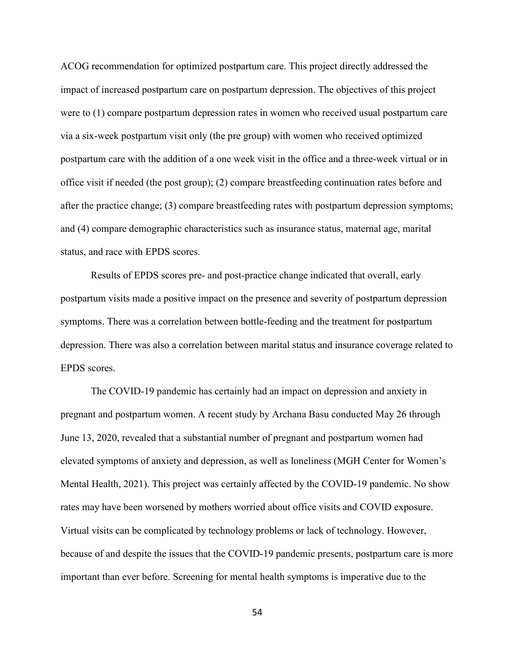ACOG recommendation for optimized postpartum care. This project directly addressed the impact of increased postpartum care on postpartum depression. The objectives of this project were to (1) compare postpartum depression rates in women who received usual postpartum care via a six-week postpartum visit only (the pre group) with women who received optimized postpartum care with the addition of a one week visit in the office and a three-week virtual or in office visit if needed (the post group); (2) compare breastfeeding continuation rates before and after the practice change; (3) compare breastfeeding rates with postpartum depression symptoms; and (4) compare demographic characteristics such as insurance status, maternal age, marital status, and race with EPDS scores.

 Results of EPDS scores pre- and post-practice change indicated that overall, early postpartum visits made a positive impact on the presence and severity of postpartum depression symptoms. There was a correlation between bottle-feeding and the treatment for postpartum depression. There was also a correlation between marital status and insurance coverage related to EPDS scores.

 The COVID-19 pandemic has certainly had an impact on depression and anxiety in pregnant and postpartum women. A recent study by Archana Basu conducted May 26 through June 13, 2020, revealed that a substantial number of pregnant and postpartum women had elevated symptoms of anxiety and depression, as well as loneliness (MGH Center for Women's Mental Health, 2021). This project was certainly affected by the COVID-19 pandemic. No show rates may have been worsened by mothers worried about office visits and COVID exposure. Virtual visits can be complicated by technology problems or lack of technology. However, because of and despite the issues that the COVID-19 pandemic presents, postpartum care is more important than ever before. Screening for mental health symptoms is imperative due to the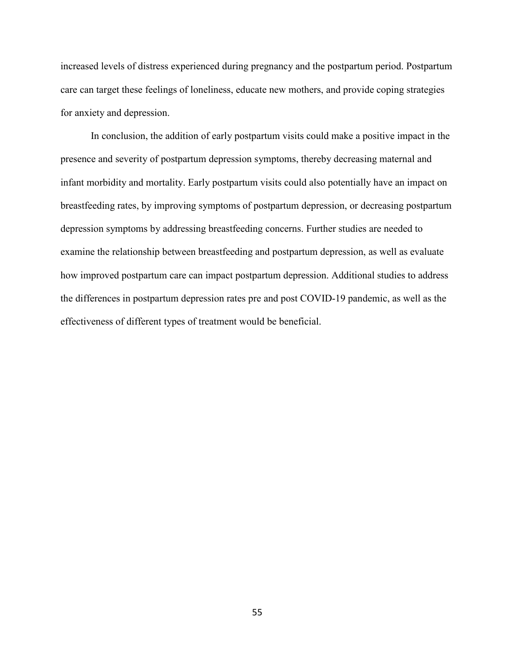increased levels of distress experienced during pregnancy and the postpartum period. Postpartum care can target these feelings of loneliness, educate new mothers, and provide coping strategies for anxiety and depression.

In conclusion, the addition of early postpartum visits could make a positive impact in the presence and severity of postpartum depression symptoms, thereby decreasing maternal and infant morbidity and mortality. Early postpartum visits could also potentially have an impact on breastfeeding rates, by improving symptoms of postpartum depression, or decreasing postpartum depression symptoms by addressing breastfeeding concerns. Further studies are needed to examine the relationship between breastfeeding and postpartum depression, as well as evaluate how improved postpartum care can impact postpartum depression. Additional studies to address the differences in postpartum depression rates pre and post COVID-19 pandemic, as well as the effectiveness of different types of treatment would be beneficial.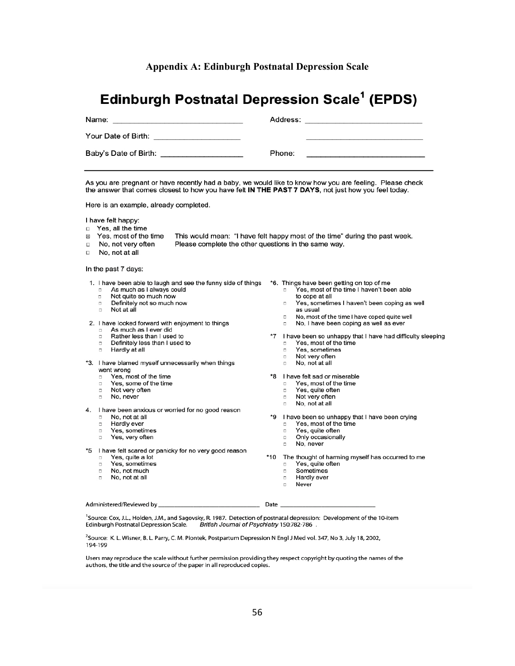#### **Appendix A: Edinburgh Postnatal Depression Scale**

# **Edinburgh Postnatal Depression Scale<sup>1</sup> (EPDS)**

| Name:<br><u> 1989 - Andrea Branch, ann an t-Ann an Aonaichte ann an t-Ann an t-Ann an t-Ann an t-Ann an t-Ann an t-</u> | Address:<br>and the company of the company of the company of the contract of the company of the company of the company of |
|-------------------------------------------------------------------------------------------------------------------------|---------------------------------------------------------------------------------------------------------------------------|
| Your Date of Birth:<br>the control of the control of the control of the control of the control of                       |                                                                                                                           |
| Baby's Date of Birth: Exercise of Birth Section 1997                                                                    | Phone:                                                                                                                    |

As you are pregnant or have recently had a baby, we would like to know how you are feeling. Please check the answer that comes closest to how you have felt IN THE PAST 7 DAYS, not just how you feel today.

Here is an example, already completed.

I have felt happy:

- Yes, all the time  $\Box$
- Yes, most of the time This would mean: "I have felt happy most of the time" during the past week. 図  $\Box$ 
	- No, not very often Please complete the other questions in the same way.
- $\Box$ No. not at all

In the past 7 days:

- 1. I have been able to laugh and see the funny side of things As much as I always could  $\Box$ 
	- Not quite so much now  $\Box$
	- $\Box$ Definitely not so much now
	- $\Box$ Not at all

2. I have looked forward with enjoyment to things

- As much as I ever did Rather less than I used to
- $\Box$ Definitely less than I used to  $\Box$
- $\Box$ Hardly at all
- \*3. I have blamed myself unnecessarily when things went wrong
	- Yes, most of the time п.
	- $\Box$ Yes, some of the time
	- $\Box$ Not very often
	- No, never
- 4. I have been anxious or worried for no good reason
	- No, not at all
	- $\Box$ Hardly ever
	- Yes, sometimes  $\Box$
	- $\Box$ Yes, very often
- \*5 I have felt scared or panicky for no very good reason
	- Yes, quite a lot
	- Yes, sometimes  $\Box$
	- No, not much  $\Box$ No, not at all  $\Box$
- \*6. Things have been getting on top of me Yes, most of the time I haven't been able  $\Box$ to cope at all
	- $\Box$ Yes, sometimes I haven't been coping as well as usual
	- $\Box$ No, most of the time I have coped quite well
	- No, I have been coping as well as ever
- $*7$ I have been so unhappy that I have had difficulty sleeping Yes, most of the time
	- $\Box$ Yes, sometimes  $\Box$
	- $\Box$ Not very often
	- $\Box$ No, not at all
- \*8 I have felt sad or miserable
	- $\Box$ Yes, most of the time
	- $\Box$ Yes, quite often
	- $\Box$ Not very often
	- $\hfill \square$ No, not at all
- ۰g I have been so unhappy that I have been crying
	- $\hfill \square$ Yes, most of the time
	- $\Box$ Yes, quite often
	- $\Box$ Only occasionally
	- No, never
- \*10 The thought of harming myself has occurred to me Yes, quite often
	- Sometimes
	- Hardly ever  $\Box$
	- $\Box$ Never

Administered/Reviewed by

Date

<sup>1</sup>Source: Cox, J.L., Holden, J.M., and Sagovsky, R. 1987. Detection of postnatal depression: Development of the 10-item British Journal of Psychiatry 150:782-786 Edinburgh Postnatal Depression Scale.

<sup>2</sup>Source: K. L. Wisner, B. L. Parry, C. M. Piontek, Postpartum Depression N Engl J Med vol. 347, No 3, July 18, 2002, 194-199

Users may reproduce the scale without further permission providing they respect copyright by quoting the names of the authors, the title and the source of the paper in all reproduced copies.

 $\Box$  $\Box$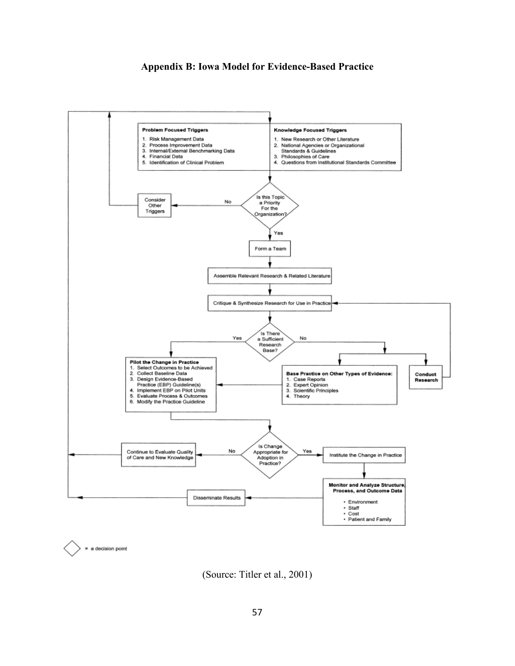# **Appendix B: Iowa Model for Evidence-Based Practice**



(Source: Titler et al., 2001)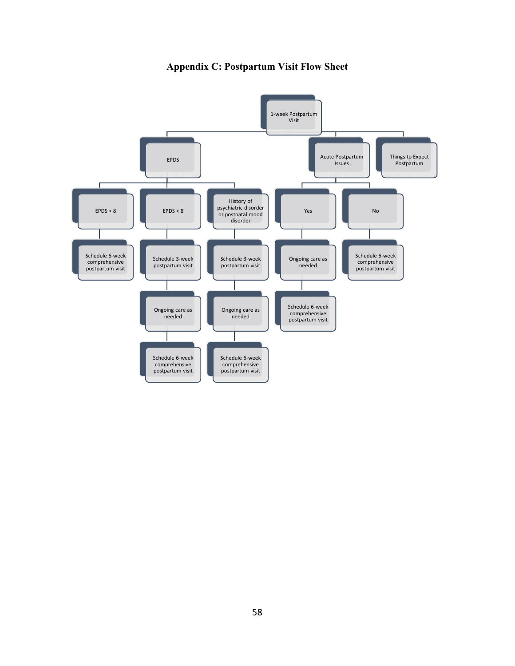

**Appendix C: Postpartum Visit Flow Sheet**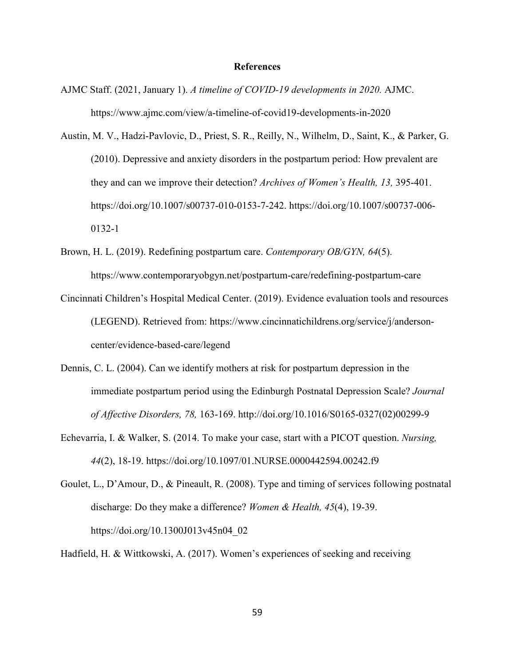## **References**

- AJMC Staff. (2021, January 1). *A timeline of COVID-19 developments in 2020.* AJMC. https://www.ajmc.com/view/a-timeline-of-covid19-developments-in-2020
- Austin, M. V., Hadzi-Pavlovic, D., Priest, S. R., Reilly, N., Wilhelm, D., Saint, K., & Parker, G. (2010). Depressive and anxiety disorders in the postpartum period: How prevalent are they and can we improve their detection? *Archives of Women's Health, 13,* 395-401. https://doi.org/10.1007/s00737-010-0153-7-242. https://doi.org/10.1007/s00737-006- 0132-1
- Brown, H. L. (2019). Redefining postpartum care. *Contemporary OB/GYN, 64*(5). https://www.contemporaryobgyn.net/postpartum-care/redefining-postpartum-care
- Cincinnati Children's Hospital Medical Center. (2019). Evidence evaluation tools and resources (LEGEND). Retrieved from: https://www.cincinnatichildrens.org/service/j/andersoncenter/evidence-based-care/legend
- Dennis, C. L. (2004). Can we identify mothers at risk for postpartum depression in the immediate postpartum period using the Edinburgh Postnatal Depression Scale? *Journal of Affective Disorders, 78,* 163-169. http://doi.org/10.1016/S0165-0327(02)00299-9
- Echevarria, I. & Walker, S. (2014. To make your case, start with a PICOT question. *Nursing, 44*(2), 18-19. https://doi.org/10.1097/01.NURSE.0000442594.00242.f9
- Goulet, L., D'Amour, D., & Pineault, R. (2008). Type and timing of services following postnatal discharge: Do they make a difference? *Women & Health, 45*(4), 19-39. https://doi.org/10.1300J013v45n04\_02

Hadfield, H. & Wittkowski, A. (2017). Women's experiences of seeking and receiving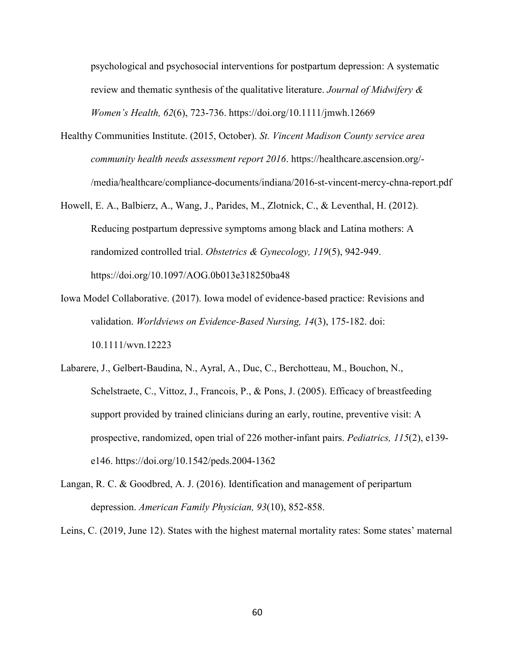psychological and psychosocial interventions for postpartum depression: A systematic review and thematic synthesis of the qualitative literature. *Journal of Midwifery & Women's Health, 62*(6), 723-736. https://doi.org/10.1111/jmwh.12669

- Healthy Communities Institute. (2015, October). *St. Vincent Madison County service area community health needs assessment report 2016*. https://healthcare.ascension.org/- /media/healthcare/compliance-documents/indiana/2016-st-vincent-mercy-chna-report.pdf
- Howell, E. A., Balbierz, A., Wang, J., Parides, M., Zlotnick, C., & Leventhal, H. (2012). Reducing postpartum depressive symptoms among black and Latina mothers: A randomized controlled trial. *Obstetrics & Gynecology, 119*(5), 942-949. https://doi.org/10.1097/AOG.0b013e318250ba48
- Iowa Model Collaborative. (2017). Iowa model of evidence-based practice: Revisions and validation. *Worldviews on Evidence-Based Nursing, 14*(3), 175-182. doi: 10.1111/wvn.12223
- Labarere, J., Gelbert-Baudina, N., Ayral, A., Duc, C., Berchotteau, M., Bouchon, N., Schelstraete, C., Vittoz, J., Francois, P., & Pons, J. (2005). Efficacy of breastfeeding support provided by trained clinicians during an early, routine, preventive visit: A prospective, randomized, open trial of 226 mother-infant pairs. *Pediatrics, 115*(2), e139 e146. https://doi.org/10.1542/peds.2004-1362
- Langan, R. C. & Goodbred, A. J. (2016). Identification and management of peripartum depression. *American Family Physician, 93*(10), 852-858.

Leins, C. (2019, June 12). States with the highest maternal mortality rates: Some states' maternal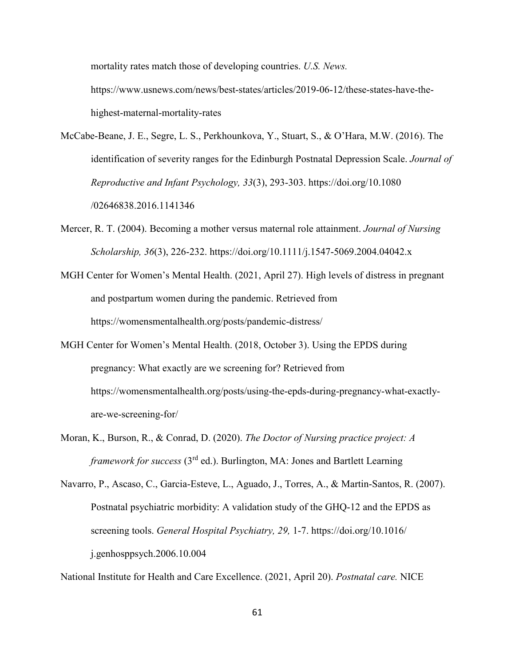mortality rates match those of developing countries. *U.S. News.*  https://www.usnews.com/news/best-states/articles/2019-06-12/these-states-have-thehighest-maternal-mortality-rates

- McCabe-Beane, J. E., Segre, L. S., Perkhounkova, Y., Stuart, S., & O'Hara, M.W. (2016). The identification of severity ranges for the Edinburgh Postnatal Depression Scale. *Journal of Reproductive and Infant Psychology, 33*(3), 293-303. https://doi.org/10.1080 /02646838.2016.1141346
- Mercer, R. T. (2004). Becoming a mother versus maternal role attainment. *Journal of Nursing Scholarship, 36*(3), 226-232. https://doi.org/10.1111/j.1547-5069.2004.04042.x
- MGH Center for Women's Mental Health. (2021, April 27). High levels of distress in pregnant and postpartum women during the pandemic. Retrieved from https://womensmentalhealth.org/posts/pandemic-distress/
- MGH Center for Women's Mental Health. (2018, October 3). Using the EPDS during pregnancy: What exactly are we screening for? Retrieved from https://womensmentalhealth.org/posts/using-the-epds-during-pregnancy-what-exactlyare-we-screening-for/
- Moran, K., Burson, R., & Conrad, D. (2020). *The Doctor of Nursing practice project: A framework for success (3<sup>rd</sup> ed.).* Burlington, MA: Jones and Bartlett Learning

National Institute for Health and Care Excellence. (2021, April 20). *Postnatal care.* NICE

Navarro, P., Ascaso, C., Garcia-Esteve, L., Aguado, J., Torres, A., & Martin-Santos, R. (2007). Postnatal psychiatric morbidity: A validation study of the GHQ-12 and the EPDS as screening tools. *General Hospital Psychiatry, 29,* 1-7. https://doi.org/10.1016/ j.genhosppsych.2006.10.004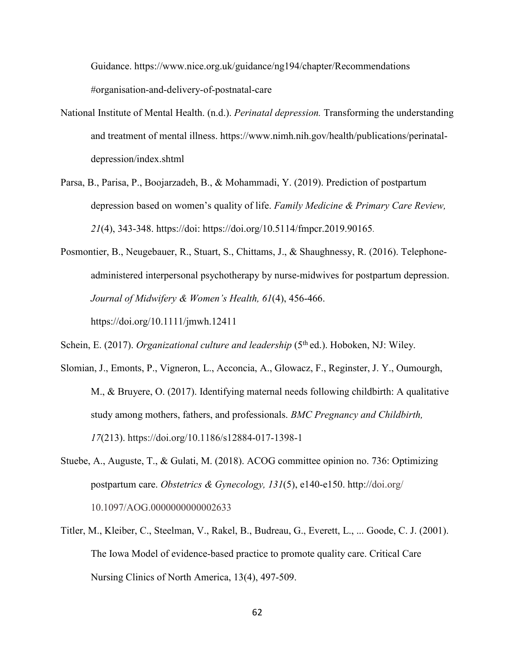Guidance. https://www.nice.org.uk/guidance/ng194/chapter/Recommendations #organisation-and-delivery-of-postnatal-care

- National Institute of Mental Health. (n.d.). *Perinatal depression.* Transforming the understanding and treatment of mental illness. https://www.nimh.nih.gov/health/publications/perinataldepression/index.shtml
- Parsa, B., Parisa, P., Boojarzadeh, B., & Mohammadi, Y. (2019). Prediction of postpartum depression based on women's quality of life. *Family Medicine & Primary Care Review, 21*(4), 343-348. https://doi: https://doi.org/10.5114/fmpcr.2019.90165.
- Posmontier, B., Neugebauer, R., Stuart, S., Chittams, J., & Shaughnessy, R. (2016). Telephoneadministered interpersonal psychotherapy by nurse-midwives for postpartum depression. *Journal of Midwifery & Women's Health, 61*(4), 456-466. https://doi.org/10.1111/jmwh.12411
- Schein, E. (2017). *Organizational culture and leadership* (5<sup>th</sup> ed.). Hoboken, NJ: Wiley.
- Slomian, J., Emonts, P., Vigneron, L., Acconcia, A., Glowacz, F., Reginster, J. Y., Oumourgh, M., & Bruyere, O. (2017). Identifying maternal needs following childbirth: A qualitative study among mothers, fathers, and professionals. *BMC Pregnancy and Childbirth, 17*(213). https://doi.org/10.1186/s12884-017-1398-1
- Stuebe, A., Auguste, T., & Gulati, M. (2018). ACOG committee opinion no. 736: Optimizing postpartum care. *Obstetrics & Gynecology, 131*(5), e140-e150. http://doi.org/ 10.1097/AOG.0000000000002633
- Titler, M., Kleiber, C., Steelman, V., Rakel, B., Budreau, G., Everett, L., ... Goode, C. J. (2001). The Iowa Model of evidence-based practice to promote quality care. Critical Care Nursing Clinics of North America, 13(4), 497-509.